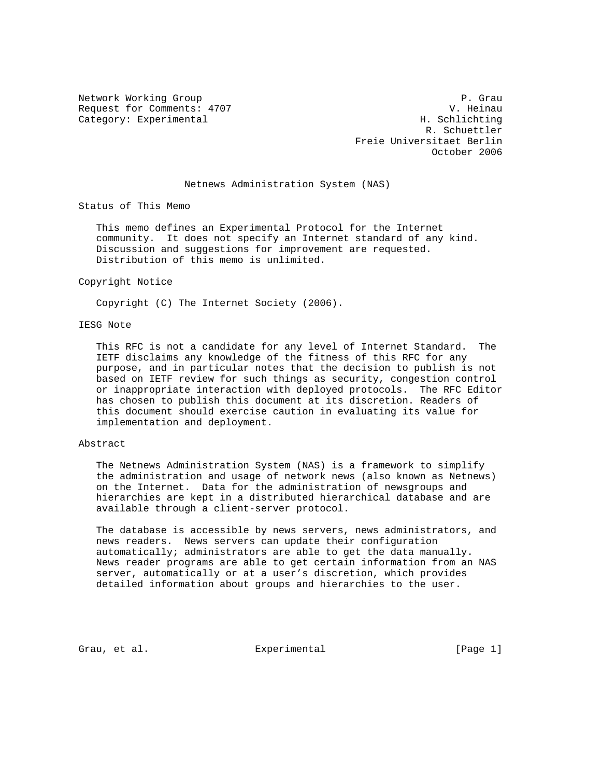Request for Comments: 4707 V. Heinau Category: Experimental H. Schlichting

Network Working Group **P. Grau**  R. Schuettler Freie Universitaet Berlin October 2006

## Netnews Administration System (NAS)

Status of This Memo

 This memo defines an Experimental Protocol for the Internet community. It does not specify an Internet standard of any kind. Discussion and suggestions for improvement are requested. Distribution of this memo is unlimited.

#### Copyright Notice

Copyright (C) The Internet Society (2006).

## IESG Note

 This RFC is not a candidate for any level of Internet Standard. The IETF disclaims any knowledge of the fitness of this RFC for any purpose, and in particular notes that the decision to publish is not based on IETF review for such things as security, congestion control or inappropriate interaction with deployed protocols. The RFC Editor has chosen to publish this document at its discretion. Readers of this document should exercise caution in evaluating its value for implementation and deployment.

## Abstract

 The Netnews Administration System (NAS) is a framework to simplify the administration and usage of network news (also known as Netnews) on the Internet. Data for the administration of newsgroups and hierarchies are kept in a distributed hierarchical database and are available through a client-server protocol.

 The database is accessible by news servers, news administrators, and news readers. News servers can update their configuration automatically; administrators are able to get the data manually. News reader programs are able to get certain information from an NAS server, automatically or at a user's discretion, which provides detailed information about groups and hierarchies to the user.

Grau, et al. Experimental [Page 1]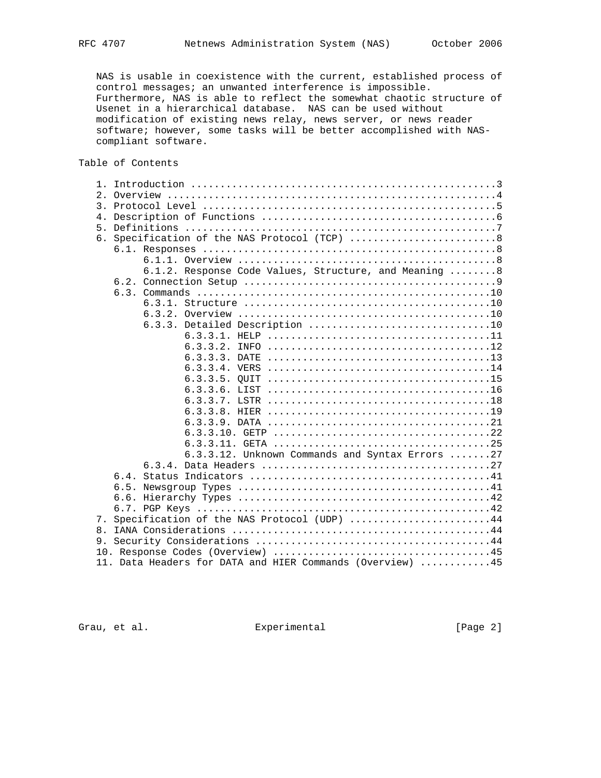NAS is usable in coexistence with the current, established process of control messages; an unwanted interference is impossible. Furthermore, NAS is able to reflect the somewhat chaotic structure of Usenet in a hierarchical database. NAS can be used without modification of existing news relay, news server, or news reader software; however, some tasks will be better accomplished with NAS compliant software.

# Table of Contents

| $1$ .            |    |  |          |                                                                                                                                                                                                                                                                                                                                                                       |
|------------------|----|--|----------|-----------------------------------------------------------------------------------------------------------------------------------------------------------------------------------------------------------------------------------------------------------------------------------------------------------------------------------------------------------------------|
|                  |    |  |          |                                                                                                                                                                                                                                                                                                                                                                       |
| $\overline{3}$ . |    |  |          |                                                                                                                                                                                                                                                                                                                                                                       |
| 4.               |    |  |          |                                                                                                                                                                                                                                                                                                                                                                       |
| 5.               |    |  |          |                                                                                                                                                                                                                                                                                                                                                                       |
|                  |    |  |          |                                                                                                                                                                                                                                                                                                                                                                       |
|                  |    |  |          |                                                                                                                                                                                                                                                                                                                                                                       |
|                  |    |  |          |                                                                                                                                                                                                                                                                                                                                                                       |
|                  |    |  |          |                                                                                                                                                                                                                                                                                                                                                                       |
|                  |    |  |          |                                                                                                                                                                                                                                                                                                                                                                       |
|                  |    |  |          |                                                                                                                                                                                                                                                                                                                                                                       |
|                  |    |  |          |                                                                                                                                                                                                                                                                                                                                                                       |
|                  |    |  |          |                                                                                                                                                                                                                                                                                                                                                                       |
|                  |    |  |          |                                                                                                                                                                                                                                                                                                                                                                       |
|                  |    |  |          |                                                                                                                                                                                                                                                                                                                                                                       |
|                  |    |  |          |                                                                                                                                                                                                                                                                                                                                                                       |
|                  |    |  |          |                                                                                                                                                                                                                                                                                                                                                                       |
|                  |    |  |          |                                                                                                                                                                                                                                                                                                                                                                       |
|                  |    |  |          |                                                                                                                                                                                                                                                                                                                                                                       |
|                  |    |  |          |                                                                                                                                                                                                                                                                                                                                                                       |
|                  |    |  |          |                                                                                                                                                                                                                                                                                                                                                                       |
|                  |    |  |          |                                                                                                                                                                                                                                                                                                                                                                       |
|                  |    |  |          |                                                                                                                                                                                                                                                                                                                                                                       |
|                  |    |  |          |                                                                                                                                                                                                                                                                                                                                                                       |
|                  |    |  |          |                                                                                                                                                                                                                                                                                                                                                                       |
|                  |    |  |          |                                                                                                                                                                                                                                                                                                                                                                       |
|                  |    |  |          |                                                                                                                                                                                                                                                                                                                                                                       |
|                  |    |  |          |                                                                                                                                                                                                                                                                                                                                                                       |
|                  |    |  |          |                                                                                                                                                                                                                                                                                                                                                                       |
|                  |    |  |          |                                                                                                                                                                                                                                                                                                                                                                       |
|                  |    |  |          |                                                                                                                                                                                                                                                                                                                                                                       |
| 8.               |    |  |          |                                                                                                                                                                                                                                                                                                                                                                       |
|                  |    |  |          |                                                                                                                                                                                                                                                                                                                                                                       |
|                  |    |  |          |                                                                                                                                                                                                                                                                                                                                                                       |
|                  |    |  |          |                                                                                                                                                                                                                                                                                                                                                                       |
|                  | 7. |  | 6.3.3.3. | 6. Specification of the NAS Protocol (TCP)  8<br>6.1. Responses $\dots\dots\dots\dots\dots\dots\dots\dots\dots\dots\dots\dots\dots\dots\dots$<br>6.1.2. Response Code Values, Structure, and Meaning  8<br>6.3.3.12. Unknown Commands and Syntax Errors 27<br>Specification of the NAS Protocol (UDP) 44<br>11. Data Headers for DATA and HIER Commands (Overview) 45 |

Grau, et al. Subsection Experimental Crau, et al. (Page 2)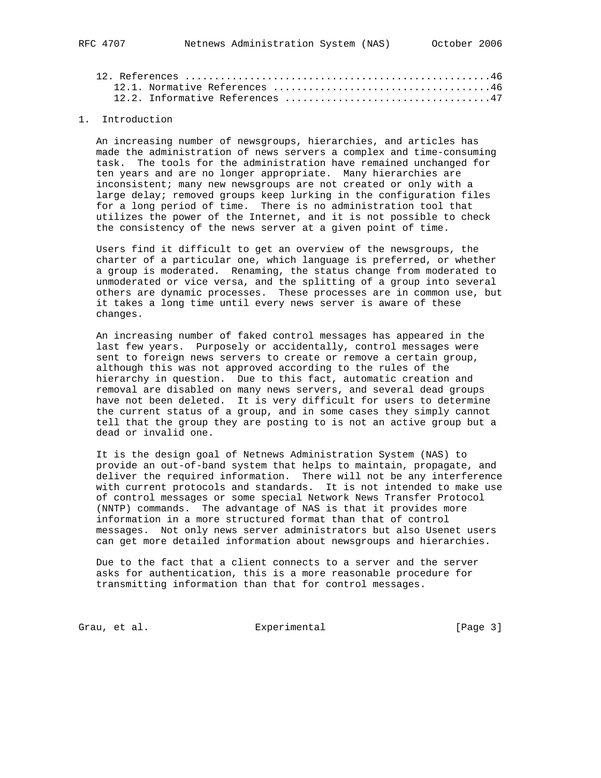## 1. Introduction

 An increasing number of newsgroups, hierarchies, and articles has made the administration of news servers a complex and time-consuming task. The tools for the administration have remained unchanged for ten years and are no longer appropriate. Many hierarchies are inconsistent; many new newsgroups are not created or only with a large delay; removed groups keep lurking in the configuration files for a long period of time. There is no administration tool that utilizes the power of the Internet, and it is not possible to check the consistency of the news server at a given point of time.

 Users find it difficult to get an overview of the newsgroups, the charter of a particular one, which language is preferred, or whether a group is moderated. Renaming, the status change from moderated to unmoderated or vice versa, and the splitting of a group into several others are dynamic processes. These processes are in common use, but it takes a long time until every news server is aware of these changes.

 An increasing number of faked control messages has appeared in the last few years. Purposely or accidentally, control messages were sent to foreign news servers to create or remove a certain group, although this was not approved according to the rules of the hierarchy in question. Due to this fact, automatic creation and removal are disabled on many news servers, and several dead groups have not been deleted. It is very difficult for users to determine the current status of a group, and in some cases they simply cannot tell that the group they are posting to is not an active group but a dead or invalid one.

 It is the design goal of Netnews Administration System (NAS) to provide an out-of-band system that helps to maintain, propagate, and deliver the required information. There will not be any interference with current protocols and standards. It is not intended to make use of control messages or some special Network News Transfer Protocol (NNTP) commands. The advantage of NAS is that it provides more information in a more structured format than that of control messages. Not only news server administrators but also Usenet users can get more detailed information about newsgroups and hierarchies.

 Due to the fact that a client connects to a server and the server asks for authentication, this is a more reasonable procedure for transmitting information than that for control messages.

Grau, et al. Subsection Experimental Crau, et al. (Page 3)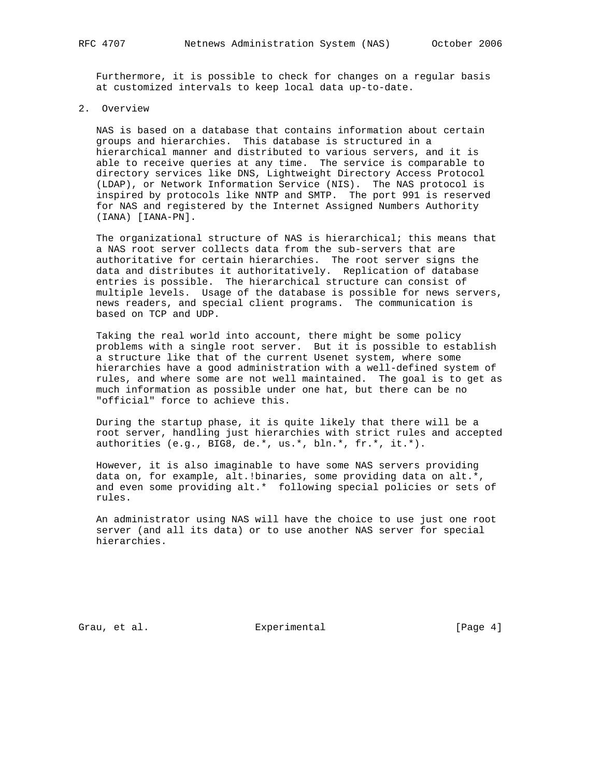Furthermore, it is possible to check for changes on a regular basis at customized intervals to keep local data up-to-date.

2. Overview

 NAS is based on a database that contains information about certain groups and hierarchies. This database is structured in a hierarchical manner and distributed to various servers, and it is able to receive queries at any time. The service is comparable to directory services like DNS, Lightweight Directory Access Protocol (LDAP), or Network Information Service (NIS). The NAS protocol is inspired by protocols like NNTP and SMTP. The port 991 is reserved for NAS and registered by the Internet Assigned Numbers Authority (IANA) [IANA-PN].

The organizational structure of NAS is hierarchical; this means that a NAS root server collects data from the sub-servers that are authoritative for certain hierarchies. The root server signs the data and distributes it authoritatively. Replication of database entries is possible. The hierarchical structure can consist of multiple levels. Usage of the database is possible for news servers, news readers, and special client programs. The communication is based on TCP and UDP.

 Taking the real world into account, there might be some policy problems with a single root server. But it is possible to establish a structure like that of the current Usenet system, where some hierarchies have a good administration with a well-defined system of rules, and where some are not well maintained. The goal is to get as much information as possible under one hat, but there can be no "official" force to achieve this.

 During the startup phase, it is quite likely that there will be a root server, handling just hierarchies with strict rules and accepted authorities (e.g., BIG8, de.\*, us.\*, bln.\*, fr.\*, it.\*).

 However, it is also imaginable to have some NAS servers providing data on, for example, alt.!binaries, some providing data on alt.\*, and even some providing alt.\* following special policies or sets of rules.

 An administrator using NAS will have the choice to use just one root server (and all its data) or to use another NAS server for special hierarchies.

Grau, et al. Subsection Experimental Crau, et al. (Page 4)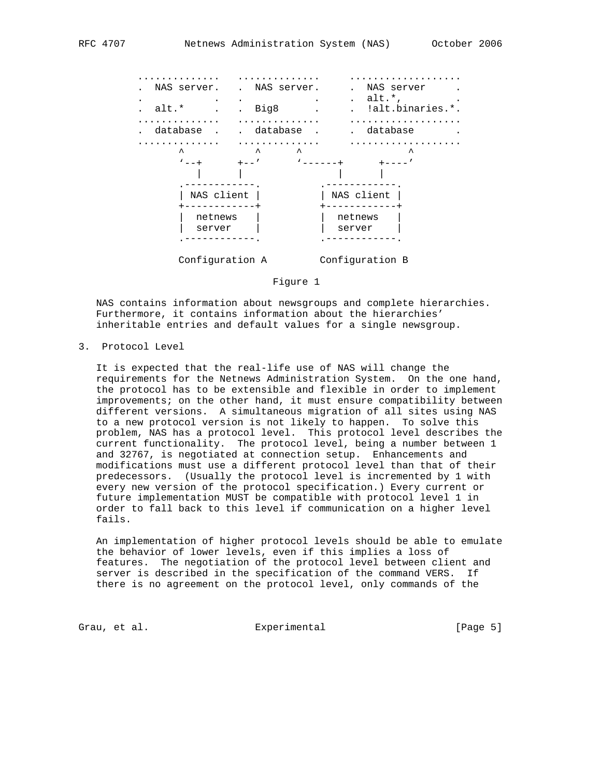

Figure 1

 NAS contains information about newsgroups and complete hierarchies. Furthermore, it contains information about the hierarchies' inheritable entries and default values for a single newsgroup.

3. Protocol Level

 It is expected that the real-life use of NAS will change the requirements for the Netnews Administration System. On the one hand, the protocol has to be extensible and flexible in order to implement improvements; on the other hand, it must ensure compatibility between different versions. A simultaneous migration of all sites using NAS to a new protocol version is not likely to happen. To solve this problem, NAS has a protocol level. This protocol level describes the current functionality. The protocol level, being a number between 1 and 32767, is negotiated at connection setup. Enhancements and modifications must use a different protocol level than that of their predecessors. (Usually the protocol level is incremented by 1 with every new version of the protocol specification.) Every current or future implementation MUST be compatible with protocol level 1 in order to fall back to this level if communication on a higher level fails.

 An implementation of higher protocol levels should be able to emulate the behavior of lower levels, even if this implies a loss of features. The negotiation of the protocol level between client and server is described in the specification of the command VERS. If there is no agreement on the protocol level, only commands of the

Grau, et al. Subsection Experimental Crau, et al. (Page 5)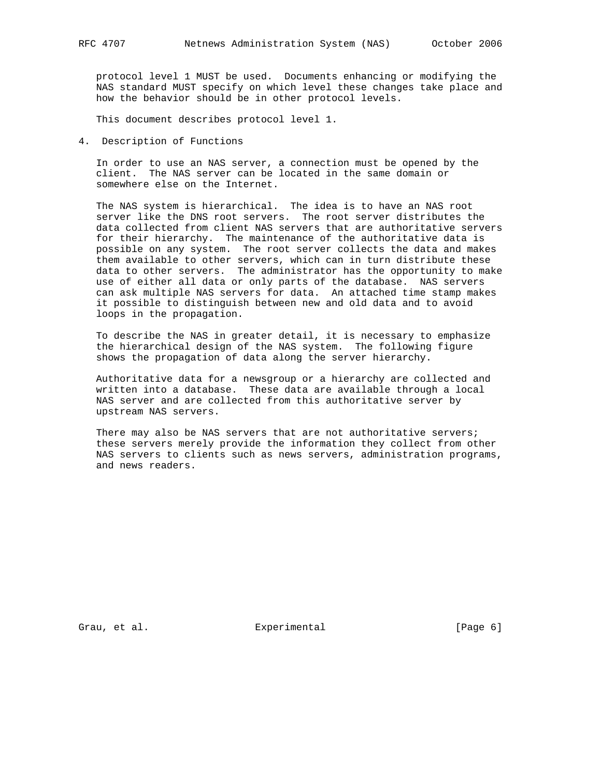protocol level 1 MUST be used. Documents enhancing or modifying the NAS standard MUST specify on which level these changes take place and how the behavior should be in other protocol levels.

This document describes protocol level 1.

4. Description of Functions

 In order to use an NAS server, a connection must be opened by the client. The NAS server can be located in the same domain or somewhere else on the Internet.

 The NAS system is hierarchical. The idea is to have an NAS root server like the DNS root servers. The root server distributes the data collected from client NAS servers that are authoritative servers for their hierarchy. The maintenance of the authoritative data is possible on any system. The root server collects the data and makes them available to other servers, which can in turn distribute these data to other servers. The administrator has the opportunity to make use of either all data or only parts of the database. NAS servers can ask multiple NAS servers for data. An attached time stamp makes it possible to distinguish between new and old data and to avoid loops in the propagation.

 To describe the NAS in greater detail, it is necessary to emphasize the hierarchical design of the NAS system. The following figure shows the propagation of data along the server hierarchy.

 Authoritative data for a newsgroup or a hierarchy are collected and written into a database. These data are available through a local NAS server and are collected from this authoritative server by upstream NAS servers.

There may also be NAS servers that are not authoritative servers; these servers merely provide the information they collect from other NAS servers to clients such as news servers, administration programs, and news readers.

Grau, et al. Subsection Experimental Crau, et al. (Page 6)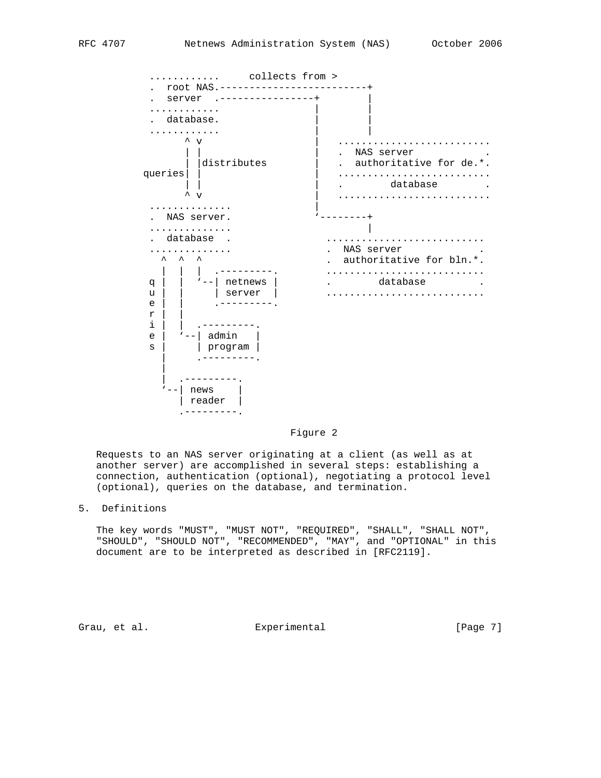

Figure 2

 Requests to an NAS server originating at a client (as well as at another server) are accomplished in several steps: establishing a connection, authentication (optional), negotiating a protocol level (optional), queries on the database, and termination.

5. Definitions

 The key words "MUST", "MUST NOT", "REQUIRED", "SHALL", "SHALL NOT", "SHOULD", "SHOULD NOT", "RECOMMENDED", "MAY", and "OPTIONAL" in this document are to be interpreted as described in [RFC2119].

Grau, et al. Subsection Experimental Crause [Page 7]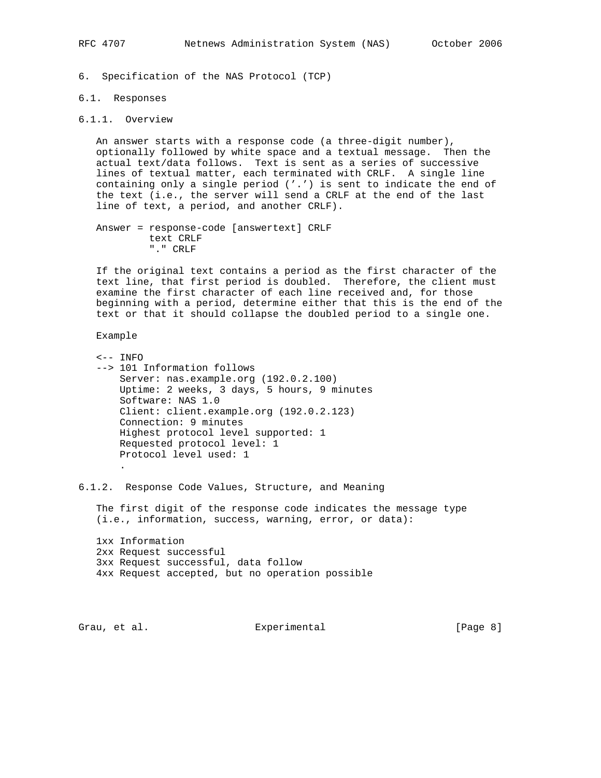6. Specification of the NAS Protocol (TCP)

#### 6.1. Responses

## 6.1.1. Overview

 An answer starts with a response code (a three-digit number), optionally followed by white space and a textual message. Then the actual text/data follows. Text is sent as a series of successive lines of textual matter, each terminated with CRLF. A single line containing only a single period ('.') is sent to indicate the end of the text (i.e., the server will send a CRLF at the end of the last line of text, a period, and another CRLF).

 Answer = response-code [answertext] CRLF text CRLF "." CRLF

 If the original text contains a period as the first character of the text line, that first period is doubled. Therefore, the client must examine the first character of each line received and, for those beginning with a period, determine either that this is the end of the text or that it should collapse the doubled period to a single one.

Example

 <-- INFO --> 101 Information follows Server: nas.example.org (192.0.2.100) Uptime: 2 weeks, 3 days, 5 hours, 9 minutes Software: NAS 1.0 Client: client.example.org (192.0.2.123) Connection: 9 minutes Highest protocol level supported: 1 Requested protocol level: 1 Protocol level used: 1 .

6.1.2. Response Code Values, Structure, and Meaning

 The first digit of the response code indicates the message type (i.e., information, success, warning, error, or data):

 1xx Information 2xx Request successful 3xx Request successful, data follow 4xx Request accepted, but no operation possible

Grau, et al. Subsection Experimental Crau, et al. (Page 8)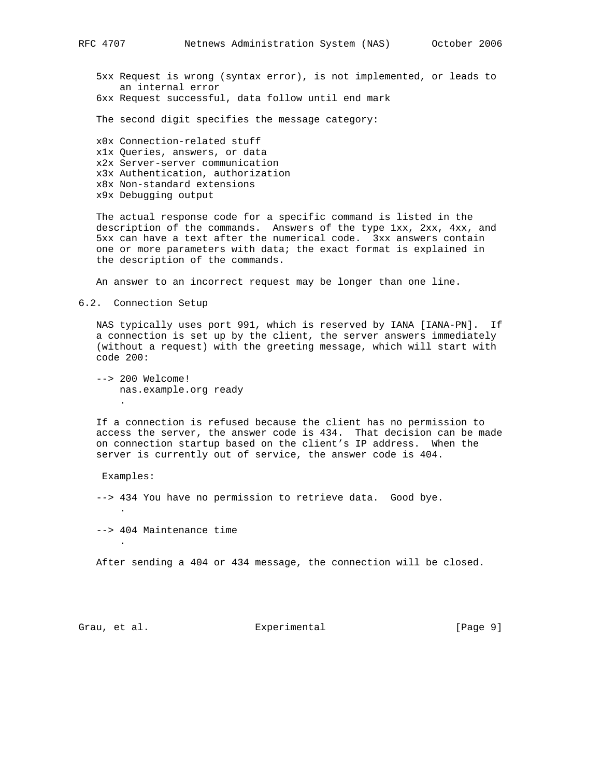5xx Request is wrong (syntax error), is not implemented, or leads to an internal error 6xx Request successful, data follow until end mark

The second digit specifies the message category:

 x0x Connection-related stuff x1x Queries, answers, or data x2x Server-server communication x3x Authentication, authorization x8x Non-standard extensions x9x Debugging output

 The actual response code for a specific command is listed in the description of the commands. Answers of the type 1xx, 2xx, 4xx, and 5xx can have a text after the numerical code. 3xx answers contain one or more parameters with data; the exact format is explained in the description of the commands.

An answer to an incorrect request may be longer than one line.

6.2. Connection Setup

 NAS typically uses port 991, which is reserved by IANA [IANA-PN]. If a connection is set up by the client, the server answers immediately (without a request) with the greeting message, which will start with code 200:

 --> 200 Welcome! nas.example.org ready .

 If a connection is refused because the client has no permission to access the server, the answer code is 434. That decision can be made on connection startup based on the client's IP address. When the server is currently out of service, the answer code is 404.

Examples:

.

.

--> 434 You have no permission to retrieve data. Good bye.

--> 404 Maintenance time

After sending a 404 or 434 message, the connection will be closed.

Grau, et al. Subsection Experimental Crau, et al. (Page 9)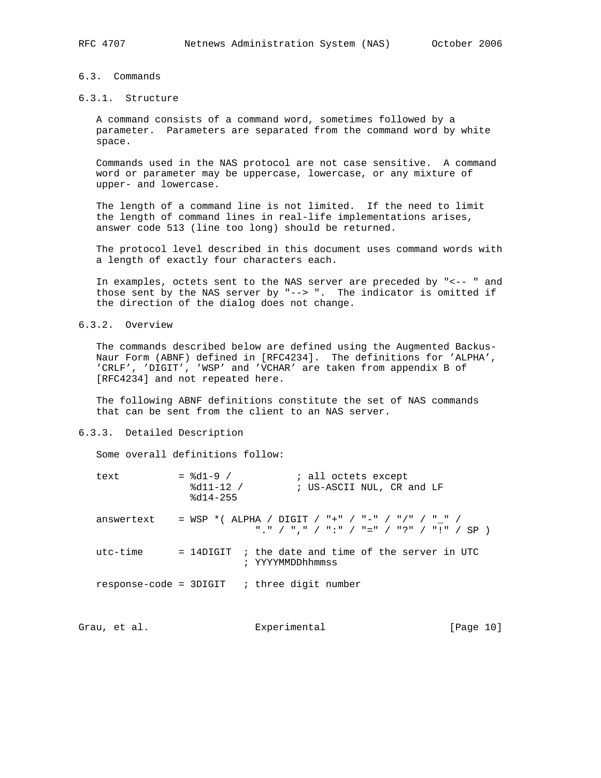# 6.3. Commands

## 6.3.1. Structure

 A command consists of a command word, sometimes followed by a parameter. Parameters are separated from the command word by white space.

 Commands used in the NAS protocol are not case sensitive. A command word or parameter may be uppercase, lowercase, or any mixture of upper- and lowercase.

 The length of a command line is not limited. If the need to limit the length of command lines in real-life implementations arises, answer code 513 (line too long) should be returned.

 The protocol level described in this document uses command words with a length of exactly four characters each.

 In examples, octets sent to the NAS server are preceded by "<-- " and those sent by the NAS server by "--> ". The indicator is omitted if the direction of the dialog does not change.

6.3.2. Overview

 The commands described below are defined using the Augmented Backus- Naur Form (ABNF) defined in [RFC4234]. The definitions for 'ALPHA', 'CRLF', 'DIGIT', 'WSP' and 'VCHAR' are taken from appendix B of [RFC4234] and not repeated here.

 The following ABNF definitions constitute the set of NAS commands that can be sent from the client to an NAS server.

## 6.3.3. Detailed Description

Some overall definitions follow:

| text                   | $=$ $\frac{6}{41-9}$ /<br>$8d11 - 12$ /<br>$8d14 - 255$ | ; all octets except<br>; US-ASCII NUL, CR and LF                                             |
|------------------------|---------------------------------------------------------|----------------------------------------------------------------------------------------------|
| answertext             |                                                         | = WSP *( ALPHA / DIGIT / "+" / "-" / "/" / " " /<br>"." / "." / ":" / "=" / "?" / "!" / SP ) |
| $utc-time$             |                                                         | $=$ 14DIGIT ; the date and time of the server in UTC<br>; YYYYMMDDhhmmss                     |
| response-code = 3DIGIT |                                                         | ; three digit number                                                                         |

Grau, et al. Subsection Experimental (Page 10)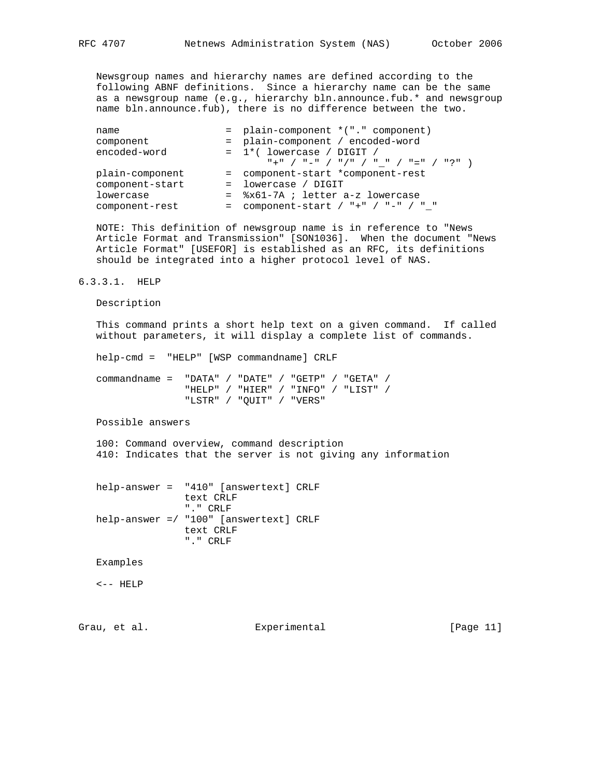Newsgroup names and hierarchy names are defined according to the following ABNF definitions. Since a hierarchy name can be the same as a newsgroup name (e.g., hierarchy bln.announce.fub.\* and newsgroup name bln.announce.fub), there is no difference between the two.

| name            | = plain-component *("." component)                      |
|-----------------|---------------------------------------------------------|
| component       | = plain-component / encoded-word                        |
| encoded-word    | $= 1$ *(lowercase / DIGIT /                             |
|                 | $T + T$ / $T - T$ / $T / T$ / $T - T$ / $T = T$ / $T$ ? |
| plain-component | = component-start *component-rest                       |
| component-start | $=$ lowercase / DIGIT                                   |
| lowercase       | = %x61-7A; letter a-z lowercase                         |
| component-rest  | = component-start / "+" / "-" / " "                     |
|                 |                                                         |

 NOTE: This definition of newsgroup name is in reference to "News Article Format and Transmission" [SON1036]. When the document "News Article Format" [USEFOR] is established as an RFC, its definitions should be integrated into a higher protocol level of NAS.

### 6.3.3.1. HELP

Description

 This command prints a short help text on a given command. If called without parameters, it will display a complete list of commands.

help-cmd = "HELP" [WSP commandname] CRLF

 commandname = "DATA" / "DATE" / "GETP" / "GETA" / "HELP" / "HIER" / "INFO" / "LIST" / "LSTR" / "QUIT" / "VERS"

Possible answers

 100: Command overview, command description 410: Indicates that the server is not giving any information

 help-answer = "410" [answertext] CRLF text CRLF "." CRLF help-answer =/ "100" [answertext] CRLF text CRLF "." CRLF

Examples

 $\leftarrow$  -  $\leftarrow$  HELP

Grau, et al. Subsection Experimental Crau, et al. [Page 11]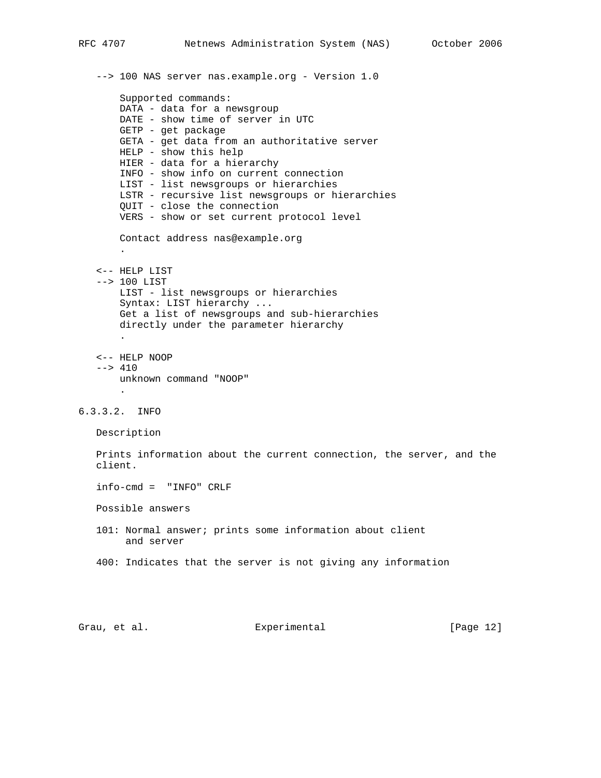```
 --> 100 NAS server nas.example.org - Version 1.0
        Supported commands:
       DATA - data for a newsgroup
       DATE - show time of server in UTC
       GETP - get package
       GETA - get data from an authoritative server
       HELP - show this help
       HIER - data for a hierarchy
       INFO - show info on current connection
       LIST - list newsgroups or hierarchies
       LSTR - recursive list newsgroups or hierarchies
       QUIT - close the connection
       VERS - show or set current protocol level
       Contact address nas@example.org
 .
    <-- HELP LIST
    --> 100 LIST
       LIST - list newsgroups or hierarchies
       Syntax: LIST hierarchy ...
       Get a list of newsgroups and sub-hierarchies
       directly under the parameter hierarchy
 .
    <-- HELP NOOP
   --& 410 unknown command "NOOP"
 .
6.3.3.2. INFO
   Description
   Prints information about the current connection, the server, and the
   client.
    info-cmd = "INFO" CRLF
   Possible answers
   101: Normal answer; prints some information about client
        and server
    400: Indicates that the server is not giving any information
```
Grau, et al. Subsection Experimental (Page 12)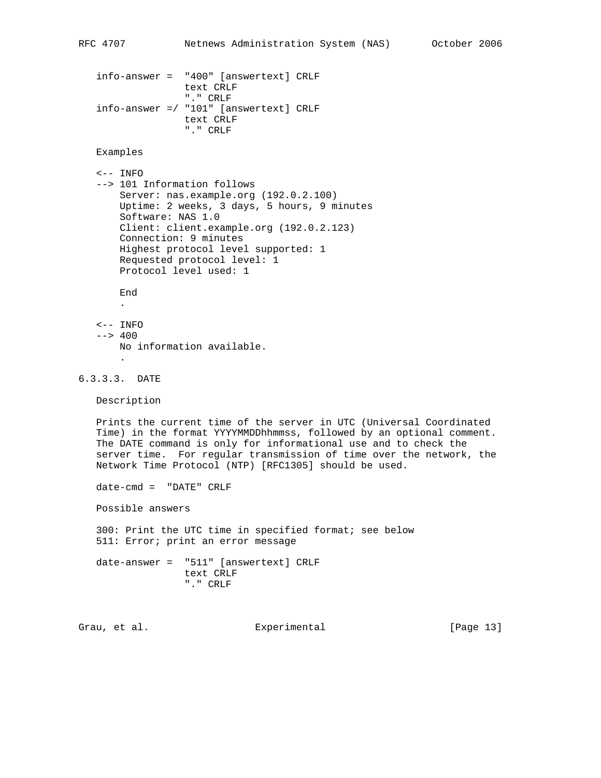```
 info-answer = "400" [answertext] CRLF
                text CRLF
                "." CRLF
 info-answer =/ "101" [answertext] CRLF
                text CRLF
                 "." CRLF
```

```
 Examples
```

```
 <-- INFO
 --> 101 Information follows
    Server: nas.example.org (192.0.2.100)
    Uptime: 2 weeks, 3 days, 5 hours, 9 minutes
    Software: NAS 1.0
    Client: client.example.org (192.0.2.123)
    Connection: 9 minutes
    Highest protocol level supported: 1
    Requested protocol level: 1
    Protocol level used: 1
    End
```
.

 $\leftarrow$  - INFO  $--& 400$  No information available. .

```
6.3.3.3. DATE
```
Description

 Prints the current time of the server in UTC (Universal Coordinated Time) in the format YYYYMMDDhhmmss, followed by an optional comment. The DATE command is only for informational use and to check the server time. For regular transmission of time over the network, the Network Time Protocol (NTP) [RFC1305] should be used.

date-cmd = "DATE" CRLF

Possible answers

 300: Print the UTC time in specified format; see below 511: Error; print an error message

 date-answer = "511" [answertext] CRLF text CRLF "." CRLF

Grau, et al. Subsectimental Experimental [Page 13]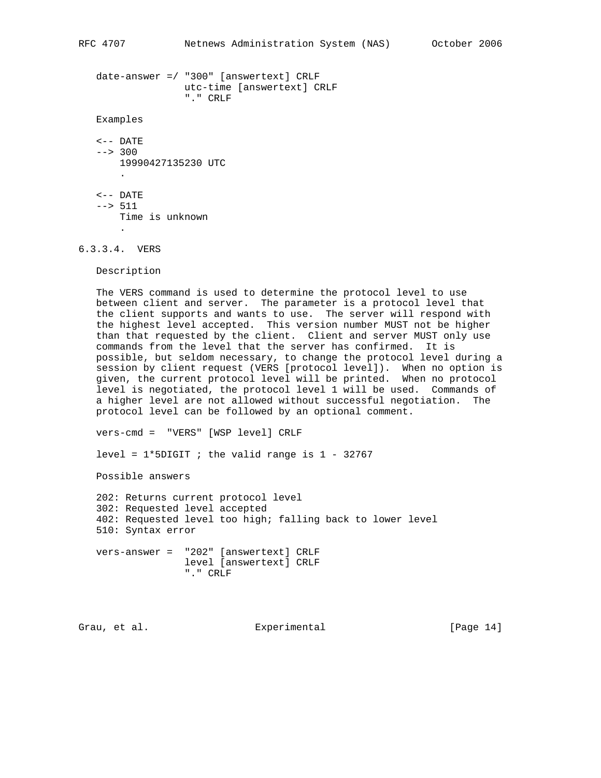date-answer =/ "300" [answertext] CRLF utc-time [answertext] CRLF "." CRLF Examples <-- DATE --> 300 19990427135230 UTC .  $\leftarrow$  - DATE --> 511 Time is unknown

6.3.3.4. VERS

.

Description

 The VERS command is used to determine the protocol level to use between client and server. The parameter is a protocol level that the client supports and wants to use. The server will respond with the highest level accepted. This version number MUST not be higher than that requested by the client. Client and server MUST only use commands from the level that the server has confirmed. It is possible, but seldom necessary, to change the protocol level during a session by client request (VERS [protocol level]). When no option is given, the current protocol level will be printed. When no protocol level is negotiated, the protocol level 1 will be used. Commands of a higher level are not allowed without successful negotiation. The protocol level can be followed by an optional comment.

vers-cmd = "VERS" [WSP level] CRLF

level =  $1*5$ DIGIT ; the valid range is  $1 - 32767$ 

Possible answers

 202: Returns current protocol level 302: Requested level accepted 402: Requested level too high; falling back to lower level 510: Syntax error vers-answer = "202" [answertext] CRLF level [answertext] CRLF "." CRLF

Grau, et al. Subsectimental Experimental [Page 14]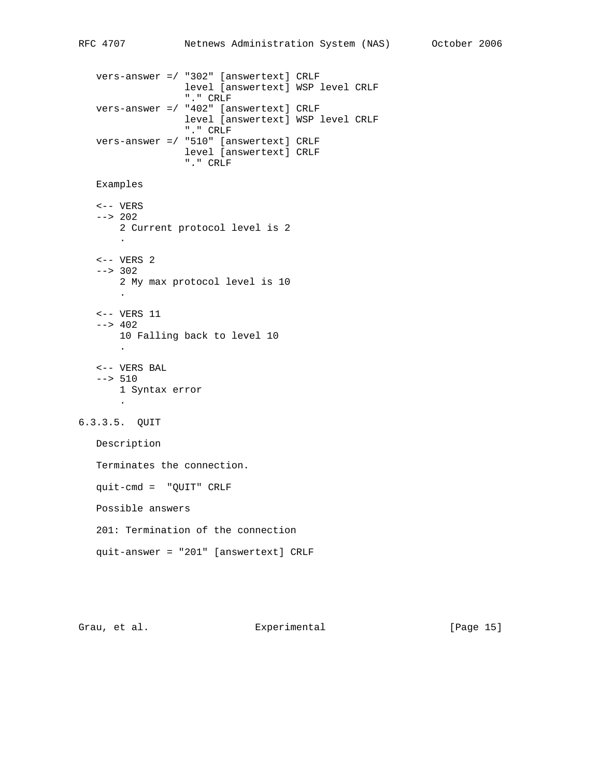```
 vers-answer =/ "302" [answertext] CRLF
                   level [answertext] WSP level CRLF
                   "." CRLF
   vers-answer =/ "402" [answertext] CRLF
                   level [answertext] WSP level CRLF
                   "." CRLF
   vers-answer =/ "510" [answertext] CRLF
                  level [answertext] CRLF
                   "." CRLF
   Examples
    <-- VERS
    --> 202
       2 Current protocol level is 2
 .
   \leftarrow - VERS 2
    --> 302
       2 My max protocol level is 10
 .
    <-- VERS 11
   --& 402 10 Falling back to level 10
 .
    <-- VERS BAL
    --> 510
      1 Syntax error
 .
6.3.3.5. QUIT
   Description
   Terminates the connection.
   quit-cmd = "QUIT" CRLF
   Possible answers
    201: Termination of the connection
   quit-answer = "201" [answertext] CRLF
```
Grau, et al. Subsection Experimental Crau, et al. [Page 15]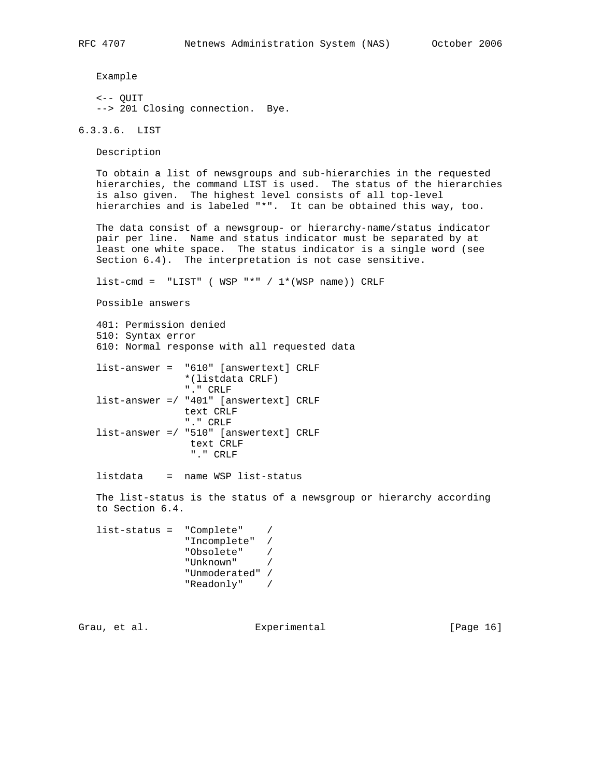Example

 <-- QUIT --> 201 Closing connection. Bye.

6.3.3.6. LIST

Description

 To obtain a list of newsgroups and sub-hierarchies in the requested hierarchies, the command LIST is used. The status of the hierarchies is also given. The highest level consists of all top-level hierarchies and is labeled "\*". It can be obtained this way, too.

 The data consist of a newsgroup- or hierarchy-name/status indicator pair per line. Name and status indicator must be separated by at least one white space. The status indicator is a single word (see Section 6.4). The interpretation is not case sensitive.

 $list-cmd = "LIST"$  ( WSP "\*" /  $1*(WSP name)$ ) CRLF

Possible answers

```
 401: Permission denied
 510: Syntax error
 610: Normal response with all requested data
 list-answer = "610" [answertext] CRLF
                *(listdata CRLF)
                "." CRLF
 list-answer =/ "401" [answertext] CRLF
                text CRLF
                "." CRLF
 list-answer =/ "510" [answertext] CRLF
                 text CRLF
                  "." CRLF
```
listdata = name WSP list-status

 The list-status is the status of a newsgroup or hierarchy according to Section 6.4.

```
 list-status = "Complete" /
             "Incomplete" /
 "Obsolete" /
 "Unknown" /
             "Unmoderated" /
             "Readonly" /
```
Grau, et al. Experimental [Page 16]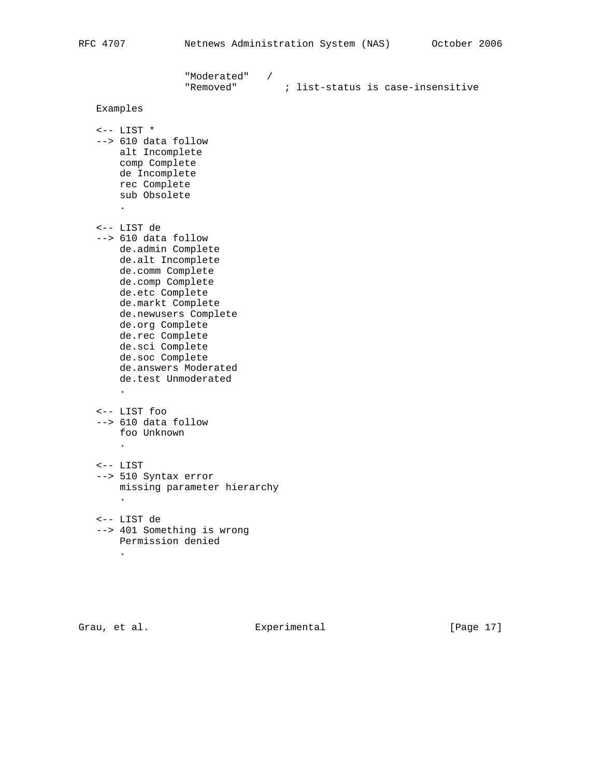```
 "Moderated" /
 "Removed" ; list-status is case-insensitive
   Examples
  \leftarrow -- LIST * --> 610 data follow
      alt Incomplete
       comp Complete
       de Incomplete
       rec Complete
       sub Obsolete
 .
   <-- LIST de
   --> 610 data follow
       de.admin Complete
       de.alt Incomplete
       de.comm Complete
       de.comp Complete
       de.etc Complete
       de.markt Complete
       de.newusers Complete
       de.org Complete
       de.rec Complete
       de.sci Complete
       de.soc Complete
       de.answers Moderated
       de.test Unmoderated
 .
   <-- LIST foo
   --> 610 data follow
      foo Unknown
 .
   <-- LIST
   --> 510 Syntax error
      missing parameter hierarchy
       .
   <-- LIST de
   --> 401 Something is wrong
      Permission denied
 .
```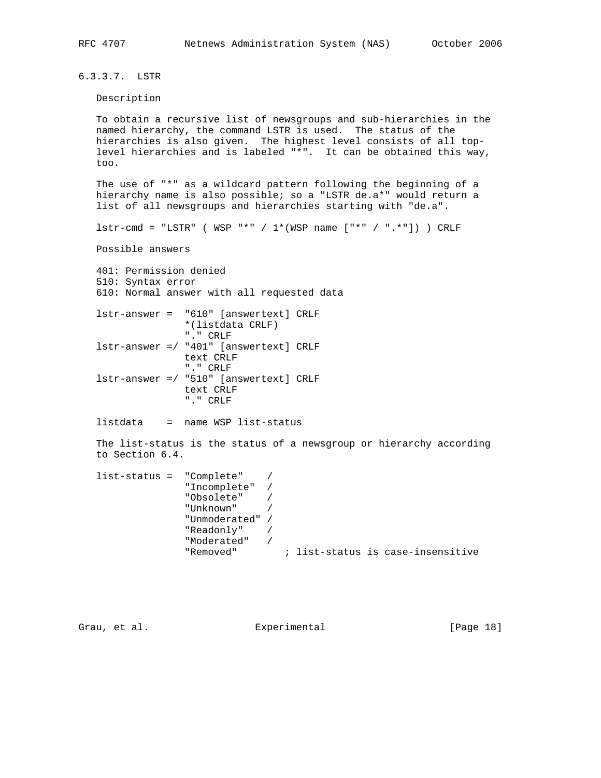6.3.3.7. LSTR

#### Description

 To obtain a recursive list of newsgroups and sub-hierarchies in the named hierarchy, the command LSTR is used. The status of the hierarchies is also given. The highest level consists of all top level hierarchies and is labeled "\*". It can be obtained this way, too.

 The use of "\*" as a wildcard pattern following the beginning of a hierarchy name is also possible; so a "LSTR de.a\*" would return a list of all newsgroups and hierarchies starting with "de.a".

 $lstr-cmd = "LSTR"$  ( WSP "\*" /  $1*(WSP \ name [" * " / " . *"]) )$  CRLF

Possible answers

 401: Permission denied 510: Syntax error 610: Normal answer with all requested data

 lstr-answer = "610" [answertext] CRLF \*(listdata CRLF) "." CRLF lstr-answer =/ "401" [answertext] CRLF text CRLF "." CRLF lstr-answer =/ "510" [answertext] CRLF text CRLF "." CRLF

listdata = name WSP list-status

 The list-status is the status of a newsgroup or hierarchy according to Section 6.4.

```
 list-status = "Complete" /
              "Incomplete" /
 "Obsolete" /
 "Unknown" /
              "Unmoderated" /
              "Readonly" /
              "Moderated" /
              "Removed" ; list-status is case-insensitive
```
Grau, et al. Experimental [Page 18]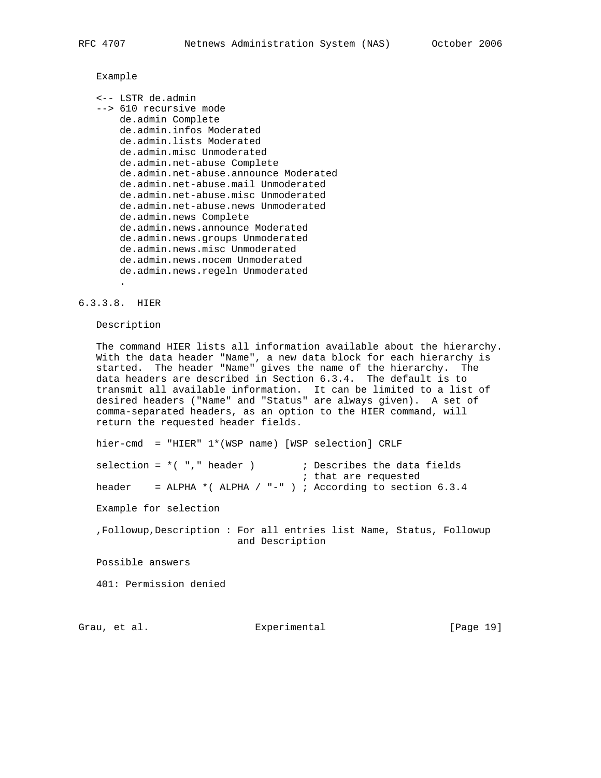## Example

 <-- LSTR de.admin --> 610 recursive mode de.admin Complete de.admin.infos Moderated de.admin.lists Moderated de.admin.misc Unmoderated de.admin.net-abuse Complete de.admin.net-abuse.announce Moderated de.admin.net-abuse.mail Unmoderated de.admin.net-abuse.misc Unmoderated de.admin.net-abuse.news Unmoderated de.admin.news Complete de.admin.news.announce Moderated de.admin.news.groups Unmoderated de.admin.news.misc Unmoderated de.admin.news.nocem Unmoderated de.admin.news.regeln Unmoderated .

## 6.3.3.8. HIER

Description

 The command HIER lists all information available about the hierarchy. With the data header "Name", a new data block for each hierarchy is started. The header "Name" gives the name of the hierarchy. The data headers are described in Section 6.3.4. The default is to transmit all available information. It can be limited to a list of desired headers ("Name" and "Status" are always given). A set of comma-separated headers, as an option to the HIER command, will return the requested header fields.

 hier-cmd = "HIER" 1\*(WSP name) [WSP selection] CRLF selection =  $*($  "," header )  $\qquad$  ; Describes the data fields ; that are requested header = ALPHA \*(ALPHA / "-" ) ; According to section  $6.3.4$  Example for selection ,Followup,Description : For all entries list Name, Status, Followup and Description Possible answers 401: Permission denied

Grau, et al. Experimental [Page 19]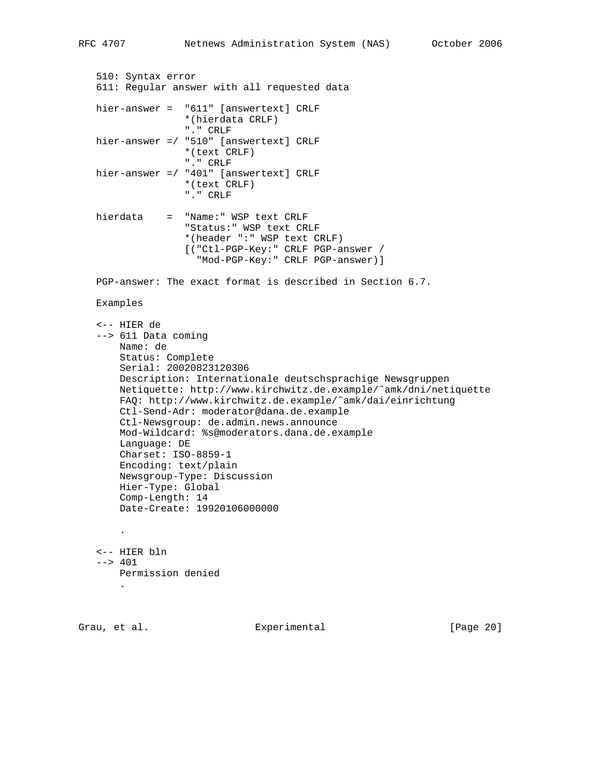```
 510: Syntax error
   611: Regular answer with all requested data
   hier-answer = "611" [answertext] CRLF
                   *(hierdata CRLF)
                   "." CRLF
   hier-answer =/ "510" [answertext] CRLF
                   *(text CRLF)
                   "." CRLF
   hier-answer =/ "401" [answertext] CRLF
                   *(text CRLF)
                   "." CRLF
   hierdata = "Name:" WSP text CRLF
                   "Status:" WSP text CRLF
                   *(header ":" WSP text CRLF)
                   [("Ctl-PGP-Key:" CRLF PGP-answer /
                     "Mod-PGP-Key:" CRLF PGP-answer)]
   PGP-answer: The exact format is described in Section 6.7.
   Examples
   <-- HIER de
   --> 611 Data coming
       Name: de
       Status: Complete
       Serial: 20020823120306
       Description: Internationale deutschsprachige Newsgruppen
       Netiquette: http://www.kirchwitz.de.example/˜amk/dni/netiquette
       FAQ: http://www.kirchwitz.de.example/˜amk/dai/einrichtung
       Ctl-Send-Adr: moderator@dana.de.example
       Ctl-Newsgroup: de.admin.news.announce
       Mod-Wildcard: %s@moderators.dana.de.example
       Language: DE
       Charset: ISO-8859-1
       Encoding: text/plain
       Newsgroup-Type: Discussion
       Hier-Type: Global
       Comp-Length: 14
       Date-Create: 19920106000000
 .
   <-- HIER bln
   --> 401
       Permission denied
 .
```
Grau, et al. Subsection Experimental Crau, et al. [Page 20]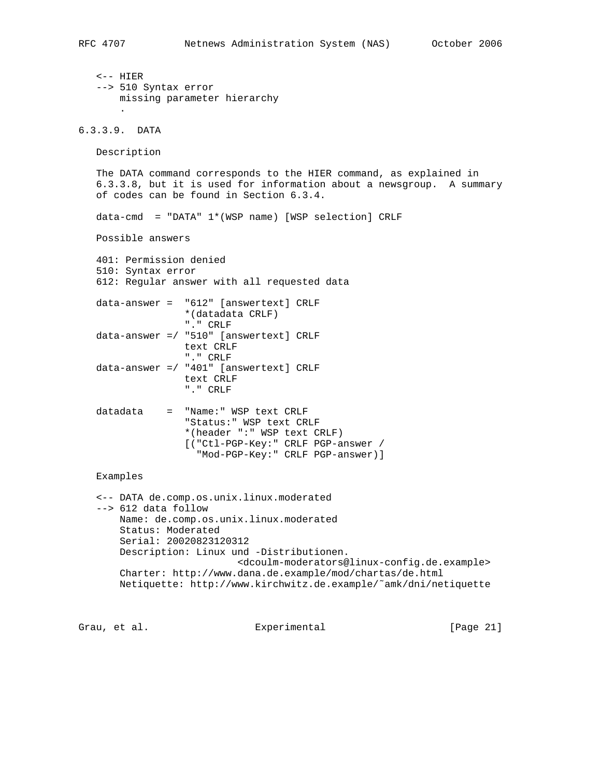```
 <-- HIER
    --> 510 Syntax error
       missing parameter hierarchy
 .
6.3.3.9. DATA
   Description
   The DATA command corresponds to the HIER command, as explained in
    6.3.3.8, but it is used for information about a newsgroup. A summary
    of codes can be found in Section 6.3.4.
   data-cmd = "DATA" 1*(WSP name) [WSP selection] CRLF
   Possible answers
    401: Permission denied
    510: Syntax error
    612: Regular answer with all requested data
   data-answer = "612" [answertext] CRLF
                   *(datadata CRLF)
                   "." CRLF
    data-answer =/ "510" [answertext] CRLF
                   text CRLF
                   "." CRLF
    data-answer =/ "401" [answertext] CRLF
                   text CRLF
                   "." CRLF
    datadata = "Name:" WSP text CRLF
                   "Status:" WSP text CRLF
                   *(header ":" WSP text CRLF)
                   [("Ctl-PGP-Key:" CRLF PGP-answer /
                     "Mod-PGP-Key:" CRLF PGP-answer)]
    Examples
    <-- DATA de.comp.os.unix.linux.moderated
    --> 612 data follow
       Name: de.comp.os.unix.linux.moderated
       Status: Moderated
        Serial: 20020823120312
       Description: Linux und -Distributionen.
                            <dcoulm-moderators@linux-config.de.example>
       Charter: http://www.dana.de.example/mod/chartas/de.html
       Netiquette: http://www.kirchwitz.de.example/˜amk/dni/netiquette
```
Grau, et al. Experimental [Page 21]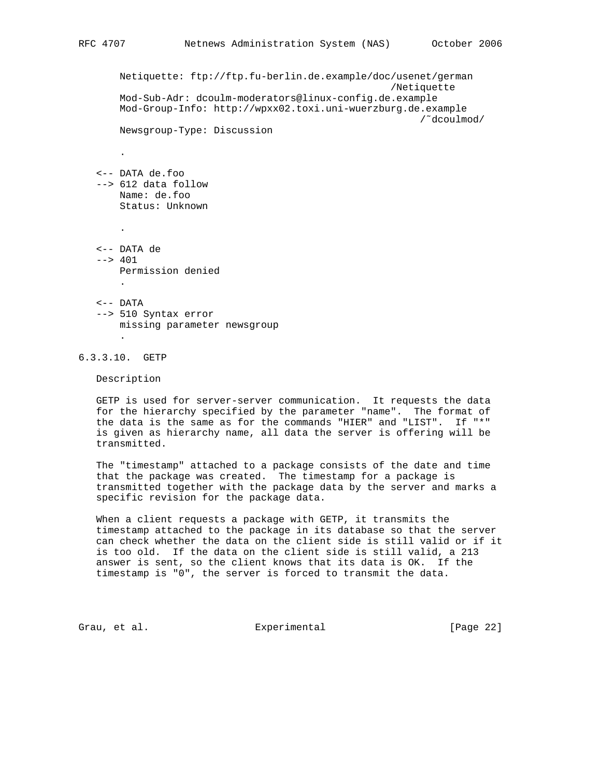```
 Netiquette: ftp://ftp.fu-berlin.de.example/doc/usenet/german
                                                     /Netiquette
       Mod-Sub-Adr: dcoulm-moderators@linux-config.de.example
       Mod-Group-Info: http://wpxx02.toxi.uni-wuerzburg.de.example
                                                          /˜dcoulmod/
       Newsgroup-Type: Discussion
 .
   <-- DATA de.foo
   --> 612 data follow
       Name: de.foo
       Status: Unknown
 .
   <-- DATA de
  --& 401 Permission denied
 .
   <-- DATA
   --> 510 Syntax error
       missing parameter newsgroup
 .
```
6.3.3.10. GETP

Description

 GETP is used for server-server communication. It requests the data for the hierarchy specified by the parameter "name". The format of the data is the same as for the commands "HIER" and "LIST". If "\*" is given as hierarchy name, all data the server is offering will be transmitted.

 The "timestamp" attached to a package consists of the date and time that the package was created. The timestamp for a package is transmitted together with the package data by the server and marks a specific revision for the package data.

 When a client requests a package with GETP, it transmits the timestamp attached to the package in its database so that the server can check whether the data on the client side is still valid or if it is too old. If the data on the client side is still valid, a 213 answer is sent, so the client knows that its data is OK. If the timestamp is "0", the server is forced to transmit the data.

Grau, et al. Subsection Experimental Crau, et al. [Page 22]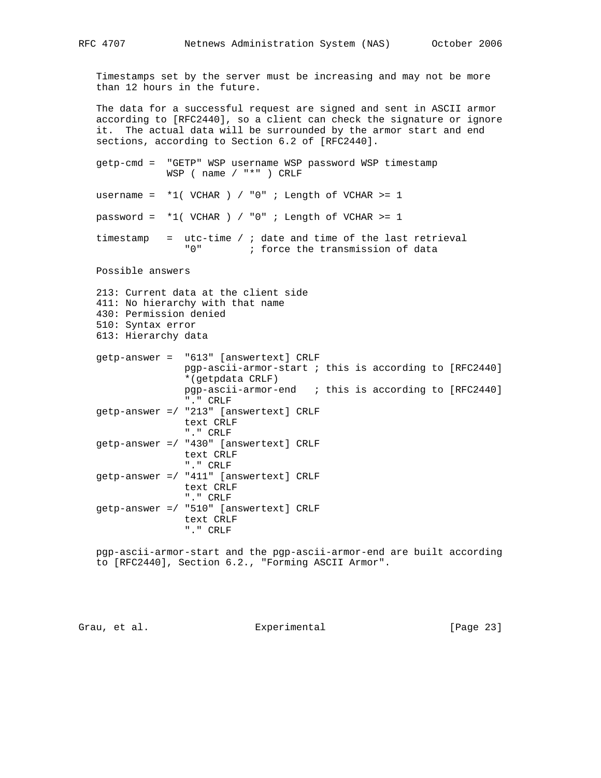Timestamps set by the server must be increasing and may not be more than 12 hours in the future.

 The data for a successful request are signed and sent in ASCII armor according to [RFC2440], so a client can check the signature or ignore it. The actual data will be surrounded by the armor start and end sections, according to Section 6.2 of [RFC2440].

 getp-cmd = "GETP" WSP username WSP password WSP timestamp WSP ( name / "\*" ) CRLF

username =  $*1$ ( VCHAR ) / "0" ; Length of VCHAR >= 1

password =  $*1$ ( VCHAR ) / "0" ; Length of VCHAR >= 1

 timestamp = utc-time / ; date and time of the last retrieval "0" ; force the transmission of data

Possible answers

```
 213: Current data at the client side
 411: No hierarchy with that name
 430: Permission denied
 510: Syntax error
 613: Hierarchy data
```
 getp-answer = "613" [answertext] CRLF pgp-ascii-armor-start ; this is according to [RFC2440] \*(getpdata CRLF) pgp-ascii-armor-end ; this is according to [RFC2440] "." CRLF getp-answer =/ "213" [answertext] CRLF text CRLF "." CRLF getp-answer =/ "430" [answertext] CRLF text CRLF "." CRLF getp-answer =/ "411" [answertext] CRLF text CRLF "." CRLF getp-answer =/ "510" [answertext] CRLF text CRLF "." CRLF

 pgp-ascii-armor-start and the pgp-ascii-armor-end are built according to [RFC2440], Section 6.2., "Forming ASCII Armor".

Grau, et al. Subsection Experimental Crau, et al. [Page 23]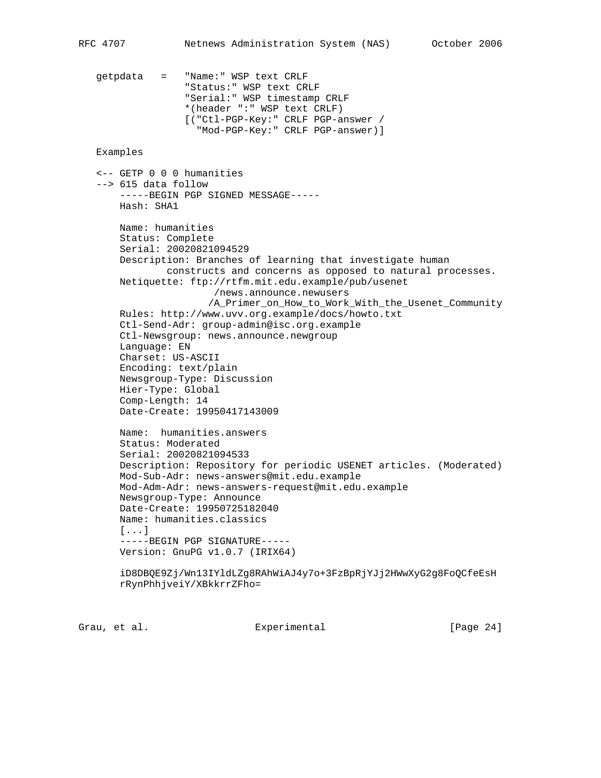getpdata = "Name:" WSP text CRLF "Status:" WSP text CRLF "Serial:" WSP timestamp CRLF \*(header ":" WSP text CRLF) [("Ctl-PGP-Key:" CRLF PGP-answer / "Mod-PGP-Key:" CRLF PGP-answer)] Examples <-- GETP 0 0 0 humanities --> 615 data follow -----BEGIN PGP SIGNED MESSAGE----- Hash: SHA1 Name: humanities Status: Complete Serial: 20020821094529 Description: Branches of learning that investigate human constructs and concerns as opposed to natural processes. Netiquette: ftp://rtfm.mit.edu.example/pub/usenet /news.announce.newusers /A\_Primer\_on\_How\_to\_Work\_With\_the\_Usenet\_Community Rules: http://www.uvv.org.example/docs/howto.txt Ctl-Send-Adr: group-admin@isc.org.example Ctl-Newsgroup: news.announce.newgroup Language: EN Charset: US-ASCII Encoding: text/plain Newsgroup-Type: Discussion Hier-Type: Global Comp-Length: 14 Date-Create: 19950417143009 Name: humanities.answers Status: Moderated Serial: 20020821094533 Description: Repository for periodic USENET articles. (Moderated) Mod-Sub-Adr: news-answers@mit.edu.example Mod-Adm-Adr: news-answers-request@mit.edu.example Newsgroup-Type: Announce Date-Create: 19950725182040 Name: humanities.classics [...] -----BEGIN PGP SIGNATURE----- Version: GnuPG v1.0.7 (IRIX64) iD8DBQE9Zj/Wn13IYldLZg8RAhWiAJ4y7o+3FzBpRjYJj2HWwXyG2g8FoQCfeEsH rRynPhhjveiY/XBkkrrZFho=

Grau, et al. Experimental [Page 24]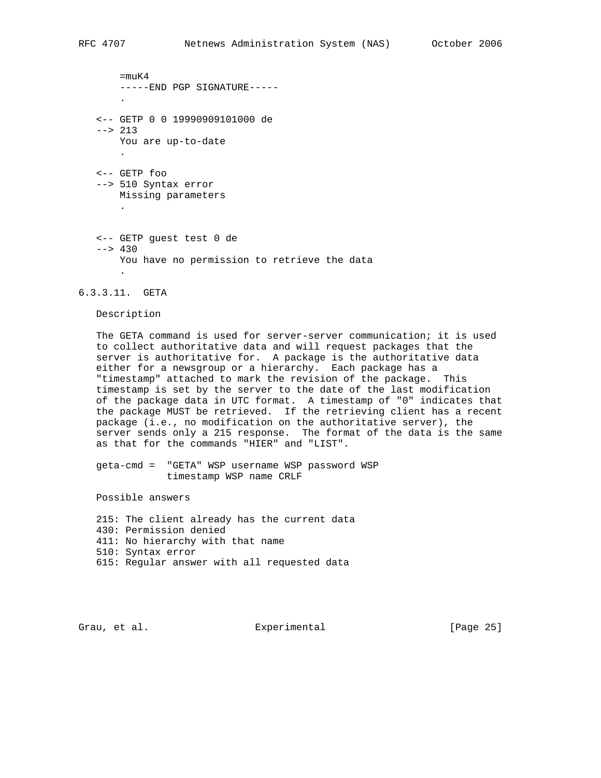$=$ muK $4$  -----END PGP SIGNATURE----- . <-- GETP 0 0 19990909101000 de  $--& 213$  You are up-to-date . <-- GETP foo --> 510 Syntax error Missing parameters . <-- GETP guest test 0 de  $--& 430$  You have no permission to retrieve the data .

6.3.3.11. GETA

## Description

 The GETA command is used for server-server communication; it is used to collect authoritative data and will request packages that the server is authoritative for. A package is the authoritative data either for a newsgroup or a hierarchy. Each package has a "timestamp" attached to mark the revision of the package. This timestamp is set by the server to the date of the last modification of the package data in UTC format. A timestamp of "0" indicates that the package MUST be retrieved. If the retrieving client has a recent package (i.e., no modification on the authoritative server), the server sends only a 215 response. The format of the data is the same as that for the commands "HIER" and "LIST".

 geta-cmd = "GETA" WSP username WSP password WSP timestamp WSP name CRLF

Possible answers

 215: The client already has the current data 430: Permission denied 411: No hierarchy with that name 510: Syntax error 615: Regular answer with all requested data

Grau, et al. Subsection Experimental Crau, et al. [Page 25]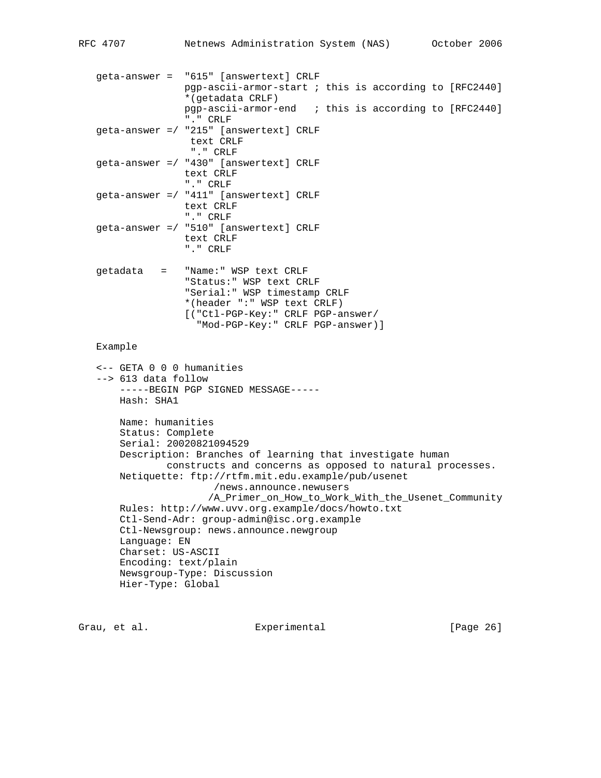```
 geta-answer = "615" [answertext] CRLF
                pgp-ascii-armor-start ; this is according to [RFC2440]
                *(getadata CRLF)
                pgp-ascii-armor-end ; this is according to [RFC2440]
                "." CRLF
 geta-answer =/ "215" [answertext] CRLF
                 text CRLF
                 "." CRLF
 geta-answer =/ "430" [answertext] CRLF
                text CRLF
                "." CRLF
 geta-answer =/ "411" [answertext] CRLF
                text CRLF
                "." CRLF
 geta-answer =/ "510" [answertext] CRLF
                text CRLF
                "." CRLF
 getadata = "Name:" WSP text CRLF
                "Status:" WSP text CRLF
                "Serial:" WSP timestamp CRLF
                *(header ":" WSP text CRLF)
                [("Ctl-PGP-Key:" CRLF PGP-answer/
                  "Mod-PGP-Key:" CRLF PGP-answer)]
 Example
 <-- GETA 0 0 0 humanities
 --> 613 data follow
     -----BEGIN PGP SIGNED MESSAGE-----
     Hash: SHA1
     Name: humanities
     Status: Complete
     Serial: 20020821094529
     Description: Branches of learning that investigate human
             constructs and concerns as opposed to natural processes.
     Netiquette: ftp://rtfm.mit.edu.example/pub/usenet
                     /news.announce.newusers
                    /A_Primer_on_How_to_Work_With_the_Usenet_Community
     Rules: http://www.uvv.org.example/docs/howto.txt
     Ctl-Send-Adr: group-admin@isc.org.example
     Ctl-Newsgroup: news.announce.newgroup
     Language: EN
     Charset: US-ASCII
     Encoding: text/plain
     Newsgroup-Type: Discussion
     Hier-Type: Global
```
Grau, et al. Experimental [Page 26]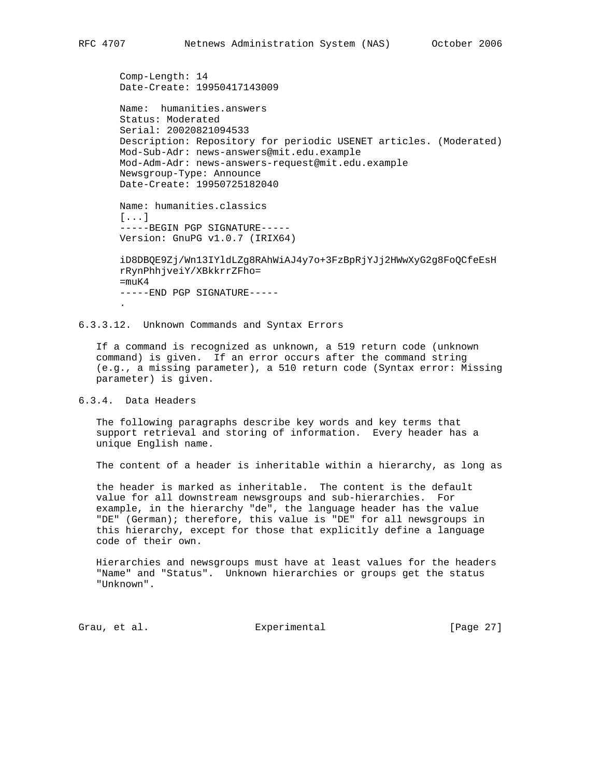```
 Comp-Length: 14
 Date-Create: 19950417143009
```

```
 Name: humanities.answers
 Status: Moderated
 Serial: 20020821094533
 Description: Repository for periodic USENET articles. (Moderated)
 Mod-Sub-Adr: news-answers@mit.edu.example
 Mod-Adm-Adr: news-answers-request@mit.edu.example
 Newsgroup-Type: Announce
 Date-Create: 19950725182040
```
 Name: humanities.classics [...] -----BEGIN PGP SIGNATURE-----

```
 Version: GnuPG v1.0.7 (IRIX64)
```
 iD8DBQE9Zj/Wn13IYldLZg8RAhWiAJ4y7o+3FzBpRjYJj2HWwXyG2g8FoQCfeEsH rRynPhhjveiY/XBkkrrZFho=  $=$ muK $4$  -----END PGP SIGNATURE----- .

6.3.3.12. Unknown Commands and Syntax Errors

 If a command is recognized as unknown, a 519 return code (unknown command) is given. If an error occurs after the command string (e.g., a missing parameter), a 510 return code (Syntax error: Missing parameter) is given.

6.3.4. Data Headers

 The following paragraphs describe key words and key terms that support retrieval and storing of information. Every header has a unique English name.

The content of a header is inheritable within a hierarchy, as long as

 the header is marked as inheritable. The content is the default value for all downstream newsgroups and sub-hierarchies. For example, in the hierarchy "de", the language header has the value "DE" (German); therefore, this value is "DE" for all newsgroups in this hierarchy, except for those that explicitly define a language code of their own.

 Hierarchies and newsgroups must have at least values for the headers "Name" and "Status". Unknown hierarchies or groups get the status "Unknown".

Grau, et al. Subsectimental Experimental [Page 27]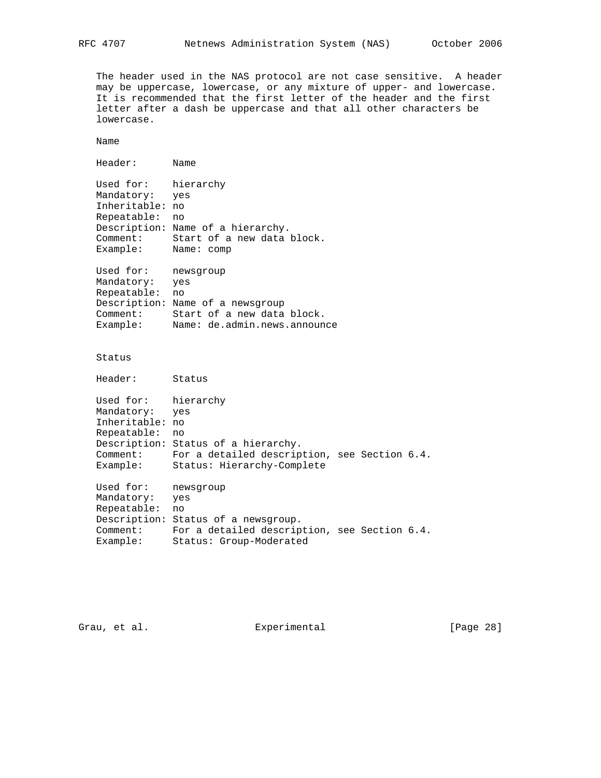The header used in the NAS protocol are not case sensitive. A header may be uppercase, lowercase, or any mixture of upper- and lowercase. It is recommended that the first letter of the header and the first letter after a dash be uppercase and that all other characters be lowercase.

Name

 Header: Name Used for: hierarchy Mandatory: yes Inheritable: no Repeatable: no Description: Name of a hierarchy. Comment: Start of a new data block. Example: Name: comp Used for: newsgroup Mandatory: yes Repeatable: no Description: Name of a newsgroup Comment: Start of a new data block. Example: Name: de.admin.news.announce Status Header: Status Used for: hierarchy Mandatory: yes Inheritable: no Repeatable: no Description: Status of a hierarchy. Comment: For a detailed description, see Section 6.4. Example: Status: Hierarchy-Complete Used for: newsgroup Mandatory: yes Repeatable: no Description: Status of a newsgroup. Comment: For a detailed description, see Section 6.4. Example: Status: Group-Moderated

Grau, et al. Subsection Experimental Crau, et al. [Page 28]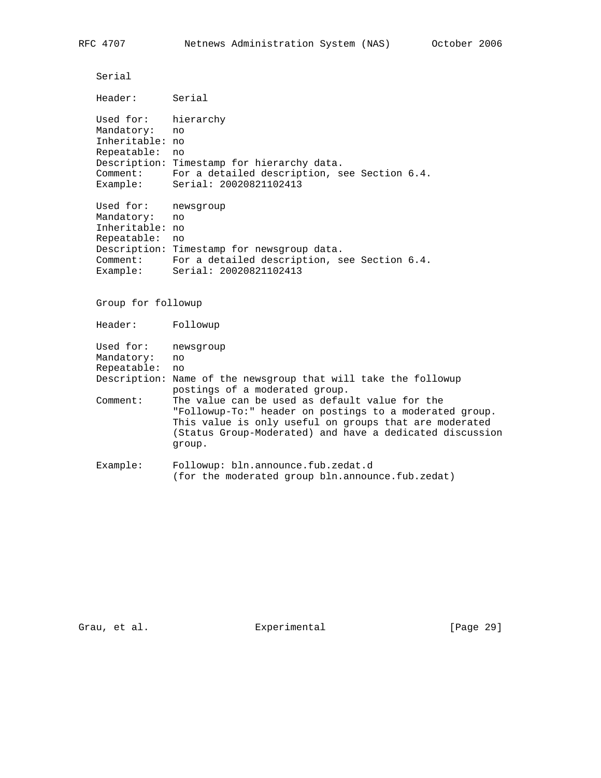Serial Header: Serial Used for: hierarchy Mandatory: no Inheritable: no Repeatable: no Description: Timestamp for hierarchy data. Comment: For a detailed description, see Section 6.4. Example: Serial: 20020821102413 Used for: newsgroup Mandatory: no Inheritable: no Repeatable: no Description: Timestamp for newsgroup data. Comment: For a detailed description, see Section 6.4. Example: Serial: 20020821102413 Group for followup Header: Followup Used for: newsgroup Mandatory: no Repeatable: no Description: Name of the newsgroup that will take the followup postings of a moderated group. Comment: The value can be used as default value for the "Followup-To:" header on postings to a moderated group. This value is only useful on groups that are moderated (Status Group-Moderated) and have a dedicated discussion group. Example: Followup: bln.announce.fub.zedat.d

Grau, et al. Experimental [Page 29]

(for the moderated group bln.announce.fub.zedat)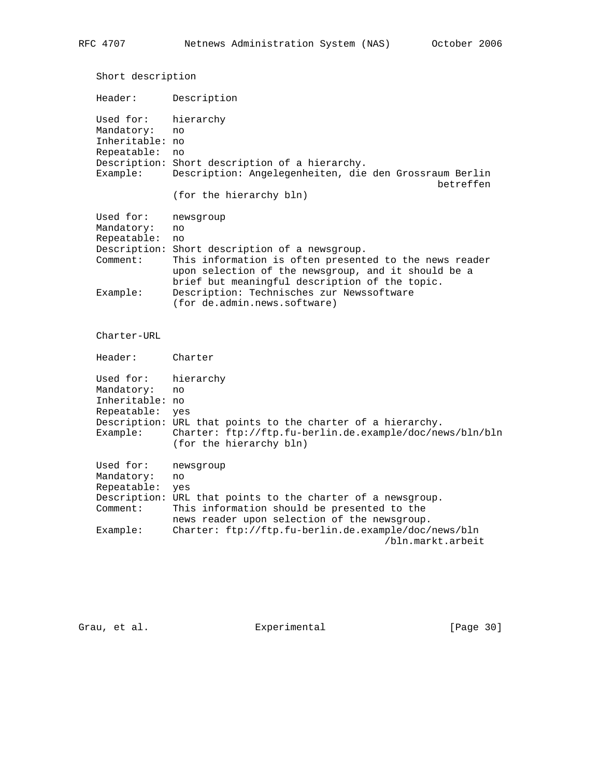Short description Header: Description Used for: hierarchy Mandatory: no Inheritable: no Repeatable: no Description: Short description of a hierarchy. Example: Description: Angelegenheiten, die den Grossraum Berlin betreffen (for the hierarchy bln) Used for: newsgroup Mandatory: no Repeatable: no Description: Short description of a newsgroup. Comment: This information is often presented to the news reader upon selection of the newsgroup, and it should be a brief but meaningful description of the topic. Example: Description: Technisches zur Newssoftware (for de.admin.news.software) Charter-URL Header: Charter Used for: hierarchy Mandatory: no Inheritable: no Repeatable: yes Description: URL that points to the charter of a hierarchy. Example: Charter: ftp://ftp.fu-berlin.de.example/doc/news/bln/bln (for the hierarchy bln) Used for: newsgroup Mandatory: no Repeatable: yes Description: URL that points to the charter of a newsgroup. Comment: This information should be presented to the news reader upon selection of the newsgroup. Example: Charter: ftp://ftp.fu-berlin.de.example/doc/news/bln /bln.markt.arbeit

Grau, et al. Experimental [Page 30]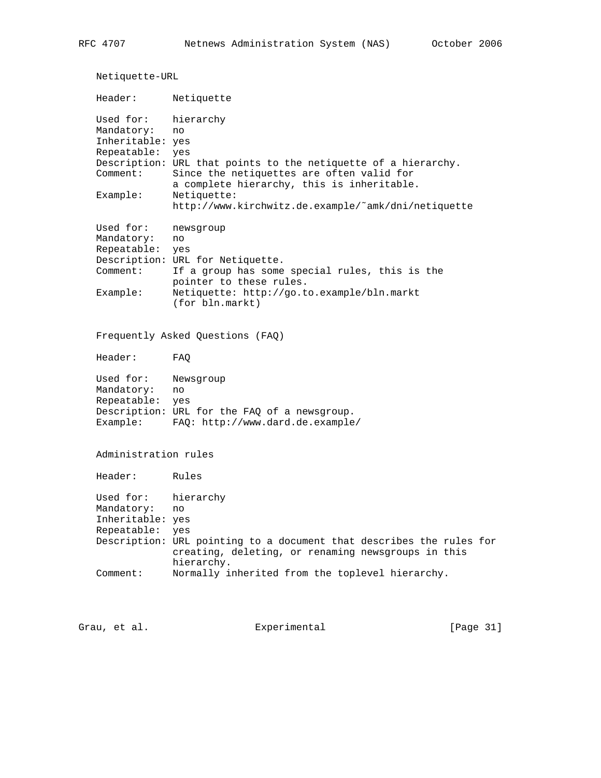Netiquette-URL Header: Netiquette Used for: hierarchy Mandatory: no Inheritable: yes Repeatable: yes Description: URL that points to the netiquette of a hierarchy. Comment: Since the netiquettes are often valid for a complete hierarchy, this is inheritable. Example: Netiquette: http://www.kirchwitz.de.example/˜amk/dni/netiquette Used for: newsgroup Mandatory: no Repeatable: yes Description: URL for Netiquette. Comment: If a group has some special rules, this is the pointer to these rules. Example: Netiquette: http://go.to.example/bln.markt (for bln.markt) Frequently Asked Questions (FAQ) Header: FAQ Used for: Newsgroup Mandatory: no Repeatable: yes Description: URL for the FAQ of a newsgroup. Example: FAQ: http://www.dard.de.example/ Administration rules Header: Rules Used for: hierarchy Mandatory: no Inheritable: yes Repeatable: yes Description: URL pointing to a document that describes the rules for creating, deleting, or renaming newsgroups in this hierarchy. Comment: Normally inherited from the toplevel hierarchy.

Grau, et al. Experimental [Page 31]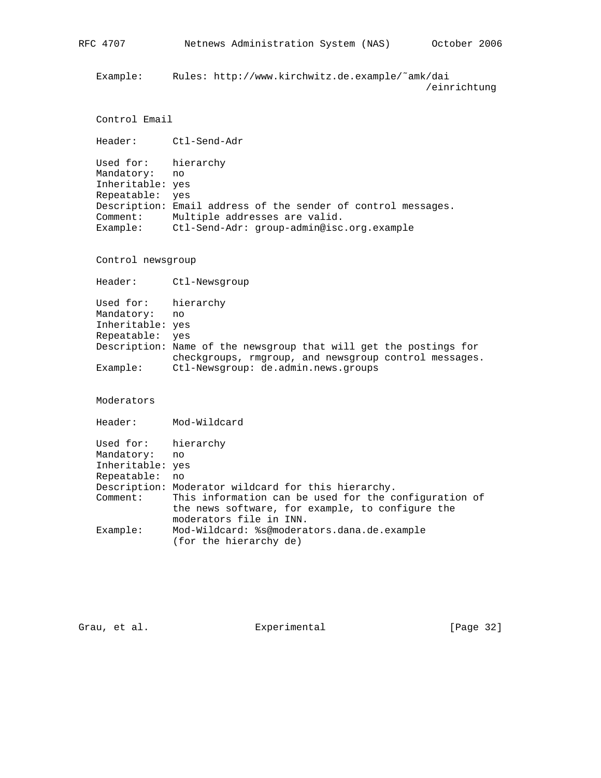Example: Rules: http://www.kirchwitz.de.example/˜amk/dai /einrichtung

```
 Control Email
```
Header: Ctl-Send-Adr

 Used for: hierarchy Mandatory: no Inheritable: yes Repeatable: yes Description: Email address of the sender of control messages. Comment: Multiple addresses are valid. Example: Ctl-Send-Adr: group-admin@isc.org.example

Control newsgroup

Header: Ctl-Newsgroup

 Used for: hierarchy Mandatory: no Inheritable: yes Repeatable: yes Description: Name of the newsgroup that will get the postings for checkgroups, rmgroup, and newsgroup control messages. Example: Ctl-Newsgroup: de.admin.news.groups

Moderators

Header: Mod-Wildcard

| Used for: hierarchy |                                                       |
|---------------------|-------------------------------------------------------|
| Mandatory: no       |                                                       |
| Inheritable: yes    |                                                       |
| Repeatable:         | no                                                    |
|                     | Description: Moderator wildcard for this hierarchy.   |
| Comment:            | This information can be used for the configuration of |
|                     | the news software, for example, to configure the      |
|                     | moderators file in INN.                               |
| Example:            | Mod-Wildcard: %s@moderators.dana.de.example           |
|                     | (for the hierarchy de)                                |
|                     |                                                       |

Grau, et al. Subsection Experimental Crau, et al. [Page 32]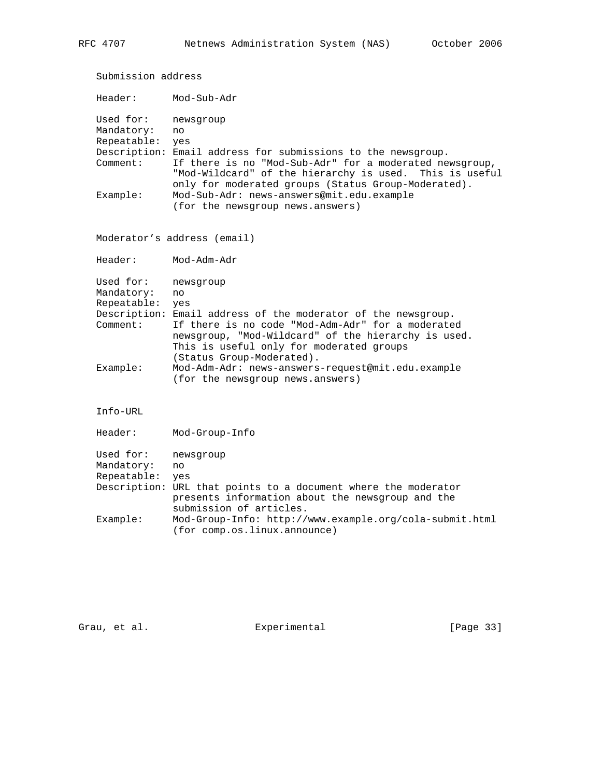Submission address Header: Mod-Sub-Adr Used for: newsgroup Mandatory: no Repeatable: yes Description: Email address for submissions to the newsgroup. Comment: If there is no "Mod-Sub-Adr" for a moderated newsgroup, "Mod-Wildcard" of the hierarchy is used. This is useful only for moderated groups (Status Group-Moderated). Example: Mod-Sub-Adr: news-answers@mit.edu.example (for the newsgroup news.answers) Moderator's address (email) Header: Mod-Adm-Adr Used for: newsgroup Mandatory: no Repeatable: yes Description: Email address of the moderator of the newsgroup. Comment: If there is no code "Mod-Adm-Adr" for a moderated newsgroup, "Mod-Wildcard" of the hierarchy is used. This is useful only for moderated groups (Status Group-Moderated). Example: Mod-Adm-Adr: news-answers-request@mit.edu.example (for the newsgroup news.answers) Info-URL Header: Mod-Group-Info Used for: newsgroup Mandatory: no Repeatable: yes Description: URL that points to a document where the moderator presents information about the newsgroup and the submission of articles. Example: Mod-Group-Info: http://www.example.org/cola-submit.html (for comp.os.linux.announce)

Grau, et al. Experimental [Page 33]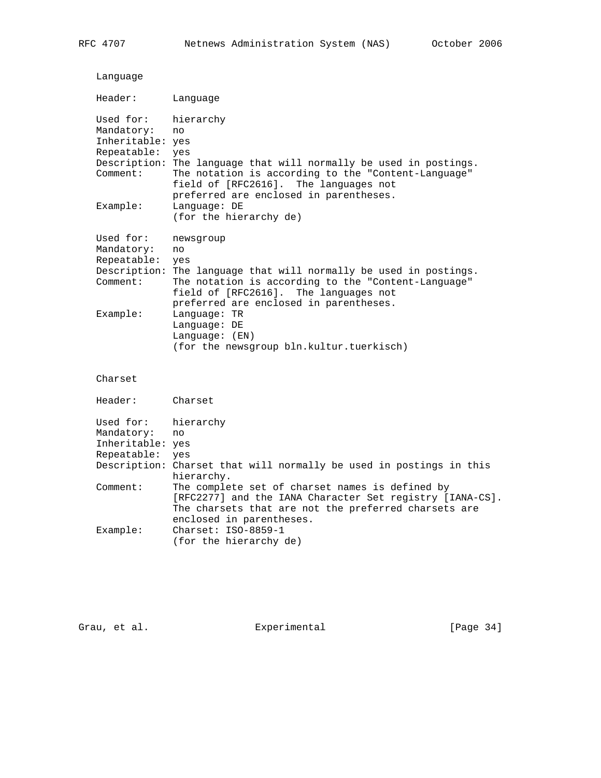| Language                                                                           |                                                                                                                                                                                                                                                                                                                        |
|------------------------------------------------------------------------------------|------------------------------------------------------------------------------------------------------------------------------------------------------------------------------------------------------------------------------------------------------------------------------------------------------------------------|
| Header:                                                                            | Language                                                                                                                                                                                                                                                                                                               |
| Used for:<br>Mandatory:<br>Inheritable: yes<br>Repeatable:<br>Comment:<br>Example: | hierarchy<br>no<br>yes<br>Description: The language that will normally be used in postings.<br>The notation is according to the "Content-Language"<br>field of [RFC2616]. The languages not<br>preferred are enclosed in parentheses.<br>Language: DE<br>(for the hierarchy de)                                        |
| Used for:<br>Mandatory:<br>Repeatable:<br>Description:<br>Comment:<br>Example:     | newsgroup<br>no<br>yes<br>The language that will normally be used in postings.<br>The notation is according to the "Content-Language"<br>field of [RFC2616]. The languages not<br>preferred are enclosed in parentheses.<br>Language: TR<br>Language: DE<br>Language: (EN)<br>(for the newsgroup bln.kultur.tuerkisch) |
| Charset                                                                            |                                                                                                                                                                                                                                                                                                                        |
| Header:                                                                            | Charset                                                                                                                                                                                                                                                                                                                |
| Used for:<br>Mandatory:<br>Inheritable: yes<br>Repeatable:                         | hierarchy<br>no<br>yes<br>Description: Charset that will normally be used in postings in this<br>hierarchy.                                                                                                                                                                                                            |
| Comment:                                                                           | The complete set of charset names is defined by<br>[RFC2277] and the IANA Character Set registry [IANA-CS].<br>The charsets that are not the preferred charsets are<br>enclosed in parentheses.                                                                                                                        |
| Example:                                                                           | Charset: ISO-8859-1<br>(for the hierarchy de)                                                                                                                                                                                                                                                                          |

Grau, et al. Subsection Experimental Crau, et al. (Page 34)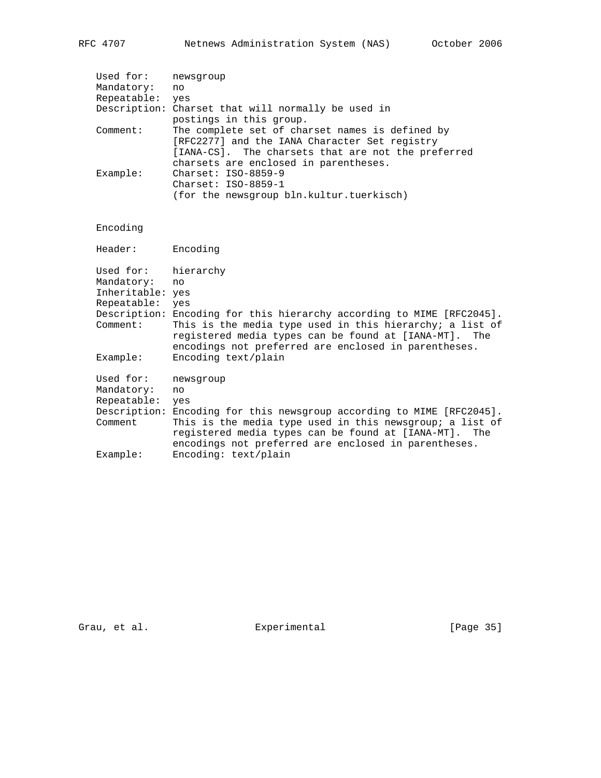| Used for:<br>Mandatory:<br>Repeatable: | newsgroup<br>no.<br>yes                                                                                                                                                                         |
|----------------------------------------|-------------------------------------------------------------------------------------------------------------------------------------------------------------------------------------------------|
|                                        | Description: Charset that will normally be used in<br>postings in this group.                                                                                                                   |
| Comment:                               | The complete set of charset names is defined by<br>[RFC2277] and the IANA Character Set registry<br>[IANA-CS]. The charsets that are not the preferred<br>charsets are enclosed in parentheses. |
| Example:                               | $Charset: TSO-8859-9$<br>$Charset: TSO-8859-1$<br>(for the newsgroup bln.kultur.tuerkisch)                                                                                                      |

# Encoding

| Header:          | Encoding                                                                                                                                                                  |
|------------------|---------------------------------------------------------------------------------------------------------------------------------------------------------------------------|
| Used for:        | hierarchy                                                                                                                                                                 |
| Mandatory:       | no                                                                                                                                                                        |
| Inheritable: yes |                                                                                                                                                                           |
| Repeatable:      | yes                                                                                                                                                                       |
|                  | Description: Encoding for this hierarchy according to MIME [RFC2045].                                                                                                     |
| Comment:         | This is the media type used in this hierarchy; a list of<br>registered media types can be found at [IANA-MT]. The<br>encodings not preferred are enclosed in parentheses. |
| Example:         | Encoding text/plain                                                                                                                                                       |
| Used for:        | newsgroup                                                                                                                                                                 |
| Mandatory:       | no                                                                                                                                                                        |
| Repeatable:      | yes                                                                                                                                                                       |
|                  | Description: Encoding for this newsgroup according to MIME [RFC2045].                                                                                                     |
| Comment          | This is the media type used in this newsgroup; a list of<br>registered media types can be found at [IANA-MT]. The<br>encodings not preferred are enclosed in parentheses. |
| Example:         | Encoding: text/plain                                                                                                                                                      |

Grau, et al. Suite Experimental Experimental [Page 35]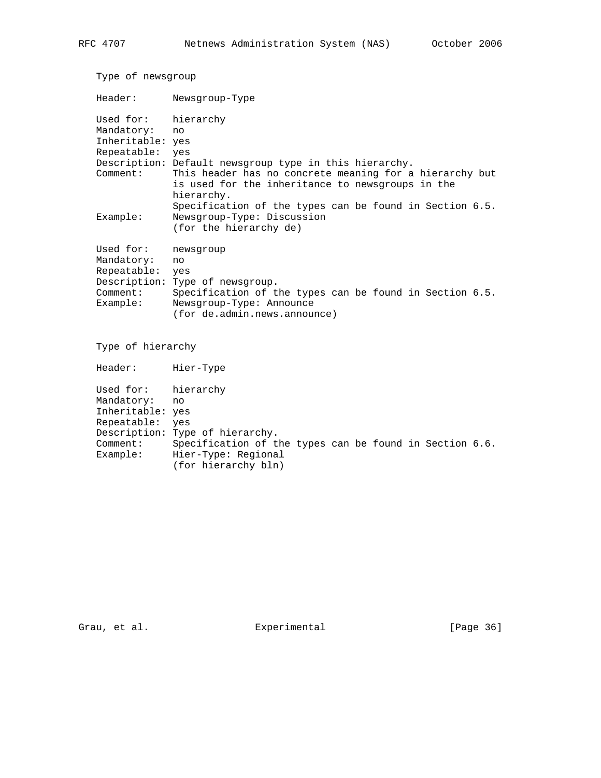| Type of newsgroup    |                                                                                                                                                                                     |  |  |  |  |
|----------------------|-------------------------------------------------------------------------------------------------------------------------------------------------------------------------------------|--|--|--|--|
| Header:              | Newsgroup-Type                                                                                                                                                                      |  |  |  |  |
| Used for:            | hierarchy                                                                                                                                                                           |  |  |  |  |
| Mandatory:           | no                                                                                                                                                                                  |  |  |  |  |
| Inheritable: yes     |                                                                                                                                                                                     |  |  |  |  |
| Repeatable:          | yes                                                                                                                                                                                 |  |  |  |  |
| Comment:             | Description: Default newsgroup type in this hierarchy.<br>This header has no concrete meaning for a hierarchy but<br>is used for the inheritance to newsgroups in the<br>hierarchy. |  |  |  |  |
| Example:             | Specification of the types can be found in Section 6.5.<br>Newsgroup-Type: Discussion<br>(for the hierarchy de)                                                                     |  |  |  |  |
| Used for:            | newsgroup                                                                                                                                                                           |  |  |  |  |
| Mandatory:           | no                                                                                                                                                                                  |  |  |  |  |
| Repeatable:          | yes                                                                                                                                                                                 |  |  |  |  |
|                      | Description: Type of newsgroup.                                                                                                                                                     |  |  |  |  |
| Comment:<br>Example: | Specification of the types can be found in Section 6.5.<br>Newsgroup-Type: Announce<br>(for de.admin.news.announce)                                                                 |  |  |  |  |
| Type of hierarchy    |                                                                                                                                                                                     |  |  |  |  |
| Header:              | Hier-Type                                                                                                                                                                           |  |  |  |  |
| Used for:            | hierarchy                                                                                                                                                                           |  |  |  |  |
| Mandatory:           | no                                                                                                                                                                                  |  |  |  |  |
| Inheritable: yes     |                                                                                                                                                                                     |  |  |  |  |
| Repeatable:          | yes                                                                                                                                                                                 |  |  |  |  |
|                      | Description: Type of hierarchy.                                                                                                                                                     |  |  |  |  |
| Comment:             | Specification of the types can be found in Section 6.6.                                                                                                                             |  |  |  |  |

Example: Hier-Type: Regional

(for hierarchy bln)

Grau, et al. Subsection Experimental Crau, et al. (Page 36)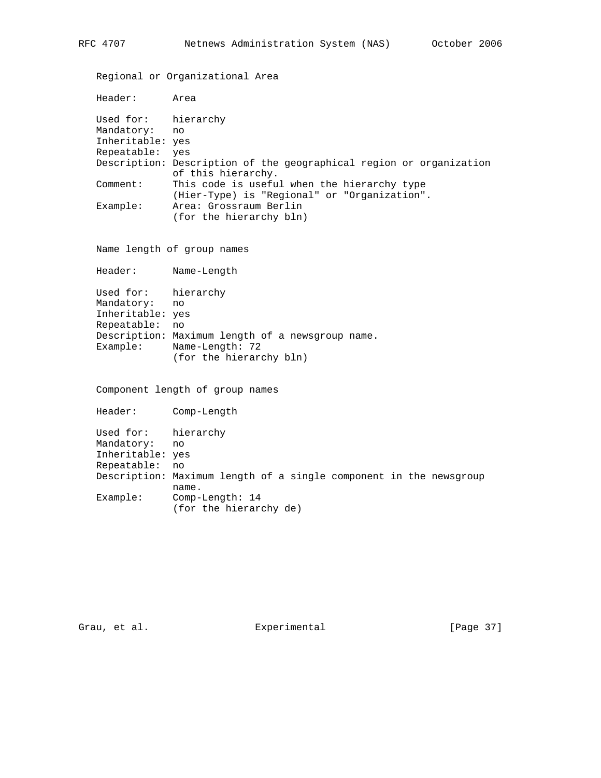Regional or Organizational Area

Header: Area

 Used for: hierarchy Mandatory: no Inheritable: yes Repeatable: yes Description: Description of the geographical region or organization of this hierarchy. Comment: This code is useful when the hierarchy type (Hier-Type) is "Regional" or "Organization". Area: Grossraum Berlin (for the hierarchy bln)

Name length of group names

Header: Name-Length

 Used for: hierarchy Mandatory: no Inheritable: yes Repeatable: no Description: Maximum length of a newsgroup name. Example: Name-Length: 72 (for the hierarchy bln)

Component length of group names

 Header: Comp-Length Used for: hierarchy Mandatory: no Inheritable: yes Repeatable: no Description: Maximum length of a single component in the newsgroup name.<br>Example: Comp-Comp-Length: 14 (for the hierarchy de)

Grau, et al. Subsection Experimental Franch (Page 37)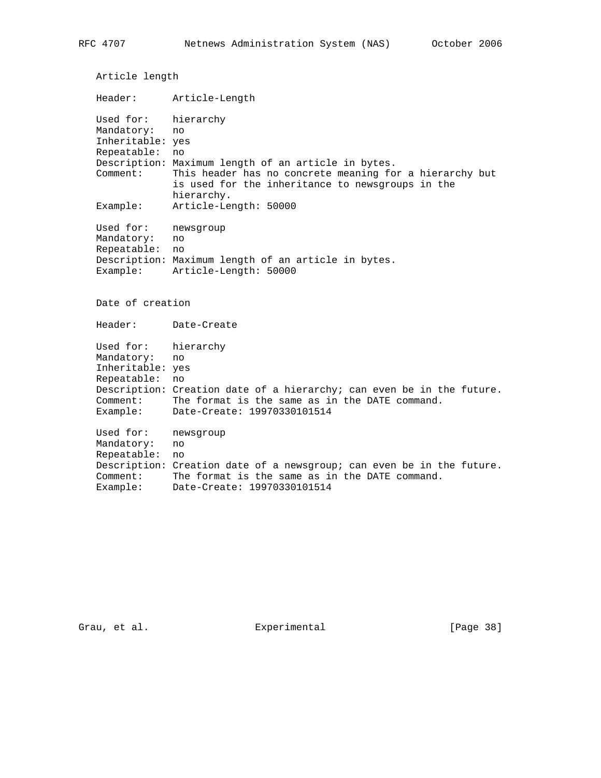Article length Header: Article-Length Used for: hierarchy Mandatory: no Inheritable: yes Repeatable: no Description: Maximum length of an article in bytes. Comment: This header has no concrete meaning for a hierarchy but is used for the inheritance to newsgroups in the hierarchy.<br>Example: Article-Le: Article-Length: 50000 Used for: newsgroup Mandatory: no Repeatable: no Description: Maximum length of an article in bytes. Example: Article-Length: 50000 Date of creation Header: Date-Create Used for: hierarchy Mandatory: no Inheritable: yes Repeatable: no Description: Creation date of a hierarchy; can even be in the future. Comment: The format is the same as in the DATE command. Example: Date-Create: 19970330101514 Used for: newsgroup Mandatory: no Repeatable: no Description: Creation date of a newsgroup; can even be in the future. Comment: The format is the same as in the DATE command. Example: Date-Create: 19970330101514

Grau, et al. Subsection Experimental Crau, et al. [Page 38]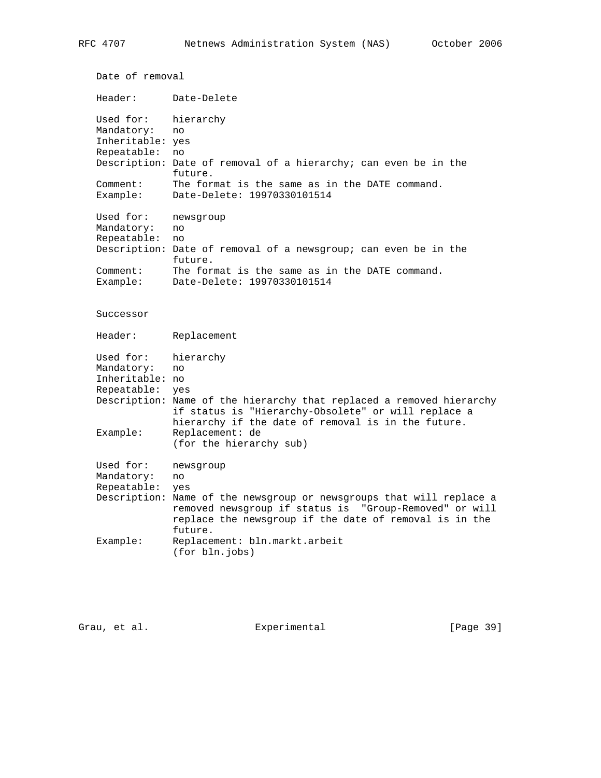```
 Date of removal
   Header: Date-Delete
 Used for: hierarchy
 Mandatory: no
   Inheritable: yes
   Repeatable: no
   Description: Date of removal of a hierarchy; can even be in the
                future.
   Comment: The format is the same as in the DATE command.
  Example: Date-Delete: 19970330101514
 Used for: newsgroup
 Mandatory: no
   Repeatable: no
   Description: Date of removal of a newsgroup; can even be in the
                future.
              The format is the same as in the DATE command.
  Comment: The format is the same as in<br>Example: Date-Delete: 19970330101514
   Successor
   Header: Replacement
 Used for: hierarchy
 Mandatory: no
   Inheritable: no
   Repeatable: yes
   Description: Name of the hierarchy that replaced a removed hierarchy
                if status is "Hierarchy-Obsolete" or will replace a
                hierarchy if the date of removal is in the future.
   Example: Replacement: de
                (for the hierarchy sub)
   Used for: newsgroup
   Mandatory: no
   Repeatable: yes
   Description: Name of the newsgroup or newsgroups that will replace a
                removed newsgroup if status is "Group-Removed" or will
                replace the newsgroup if the date of removal is in the
                future.
   Example: Replacement: bln.markt.arbeit
                (for bln.jobs)
```
Grau, et al. Experimental [Page 39]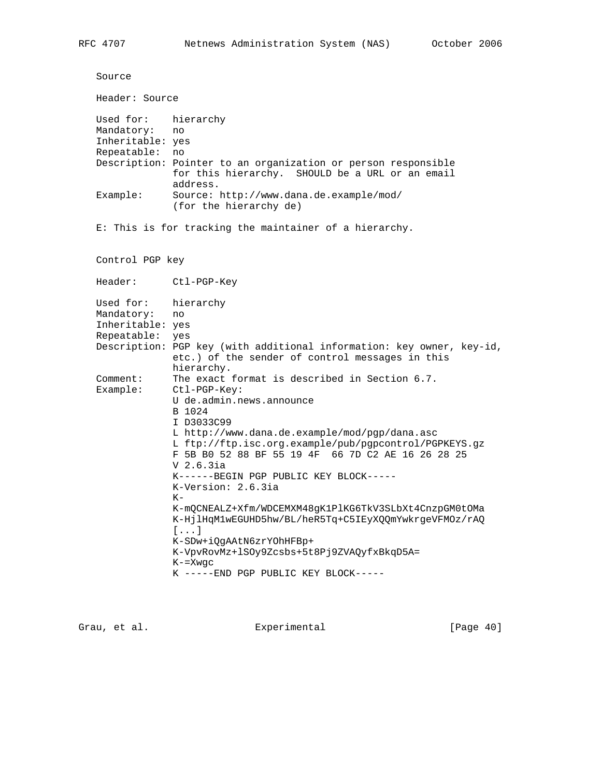```
 Source
   Header: Source
 Used for: hierarchy
 Mandatory: no
   Inheritable: yes
   Repeatable: no
   Description: Pointer to an organization or person responsible
                for this hierarchy. SHOULD be a URL or an email
                address.
   Example: Source: http://www.dana.de.example/mod/
                (for the hierarchy de)
   E: This is for tracking the maintainer of a hierarchy.
   Control PGP key
   Header: Ctl-PGP-Key
   Used for: hierarchy
   Mandatory: no
   Inheritable: yes
 Repeatable: yes
 Description: PGP key (with additional information: key owner, key-id,
                etc.) of the sender of control messages in this
hierarchy.
 Comment: The exact format is described in Section 6.7.
   Example: Ctl-PGP-Key:
                U de.admin.news.announce
                B 1024
                I D3033C99
                L http://www.dana.de.example/mod/pgp/dana.asc
                L ftp://ftp.isc.org.example/pub/pgpcontrol/PGPKEYS.gz
                F 5B B0 52 88 BF 55 19 4F 66 7D C2 AE 16 26 28 25
                V 2.6.3ia
                K------BEGIN PGP PUBLIC KEY BLOCK-----
                K-Version: 2.6.3ia
               K- K-mQCNEALZ+Xfm/WDCEMXM48gK1PlKG6TkV3SLbXt4CnzpGM0tOMa
                K-HjlHqM1wEGUHD5hw/BL/heR5Tq+C5IEyXQQmYwkrgeVFMOz/rAQ
                [...]
                K-SDw+iQgAAtN6zrYOhHFBp+
                K-VpvRovMz+lSOy9Zcsbs+5t8Pj9ZVAQyfxBkqD5A=
                K-=Xwgc
                K -----END PGP PUBLIC KEY BLOCK-----
```
Grau, et al. Experimental [Page 40]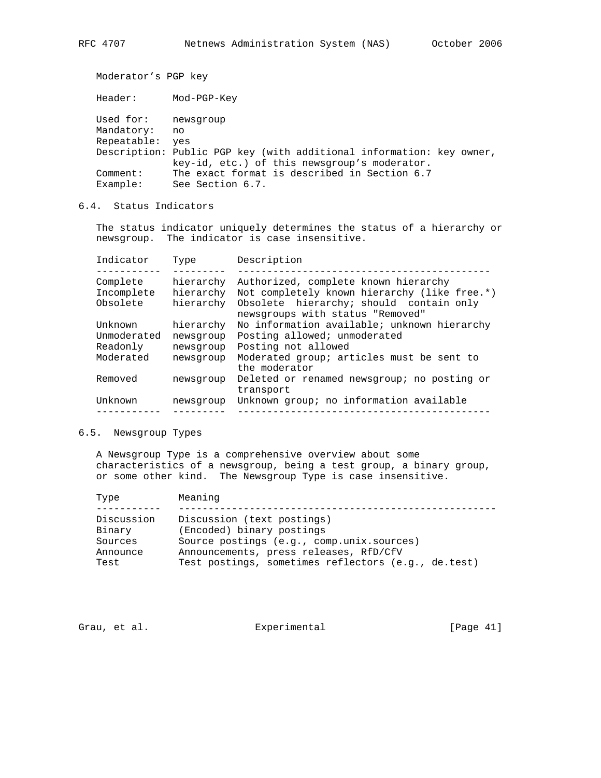Moderator's PGP key

 Header: Mod-PGP-Key Used for: newsgroup Mandatory: no Repeatable: yes

 Description: Public PGP key (with additional information: key owner, key-id, etc.) of this newsgroup's moderator. Comment: The exact format is described in Section 6.7 Example: See Section 6.7.

# 6.4. Status Indicators

 The status indicator uniquely determines the status of a hierarchy or newsgroup. The indicator is case insensitive.

| Indicator   | Type      | Description                                                                 |
|-------------|-----------|-----------------------------------------------------------------------------|
| Complete    | hierarchy | Authorized, complete known hierarchy                                        |
| Incomplete  | hierarchy | Not completely known hierarchy (like free.*)                                |
| Obsolete    | hierarchy | Obsolete hierarchy; should contain only<br>newsgroups with status "Removed" |
| Unknown     | hierarchy | No information available; unknown hierarchy                                 |
| Unmoderated | newsgroup | Posting allowed; unmoderated                                                |
| Readonly    | newsgroup | Posting not allowed                                                         |
| Moderated   | newsgroup | Moderated group; articles must be sent to<br>the moderator                  |
| Removed     | newsgroup | Deleted or renamed newsgroup; no posting or<br>transport                    |
| Unknown     | newsgroup | Unknown group; no information available                                     |
|             |           |                                                                             |
|             |           |                                                                             |

## 6.5. Newsgroup Types

 A Newsgroup Type is a comprehensive overview about some characteristics of a newsgroup, being a test group, a binary group, or some other kind. The Newsgroup Type is case insensitive.

| Type                                                | Meaning                                                                                                                                                                                               |
|-----------------------------------------------------|-------------------------------------------------------------------------------------------------------------------------------------------------------------------------------------------------------|
| Discussion<br>Binary<br>Sources<br>Announce<br>Test | Discussion (text postings)<br>(Encoded) binary postings<br>Source postings (e.g., comp.unix.sources)<br>Announcements, press releases, RfD/CfV<br>Test postings, sometimes reflectors (e.g., de.test) |
|                                                     |                                                                                                                                                                                                       |

Grau, et al. Subsection Experimental Crau, et al. [Page 41]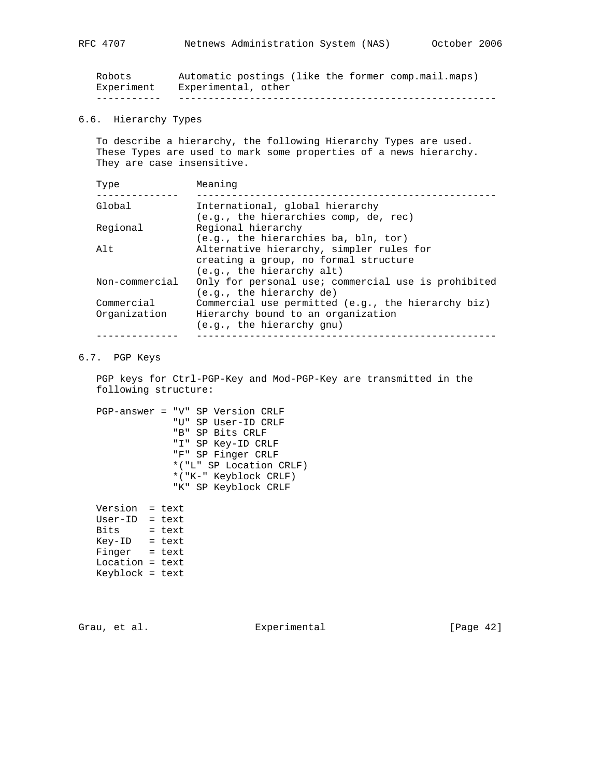| Experiment | Experimental, other                                 |
|------------|-----------------------------------------------------|
| Robots     | Automatic postings (like the former comp.mail.maps) |

# 6.6. Hierarchy Types

 To describe a hierarchy, the following Hierarchy Types are used. These Types are used to mark some properties of a news hierarchy. They are case insensitive.

| Type           | Meaning                                                    |
|----------------|------------------------------------------------------------|
| Global         | International, global hierarchy                            |
|                | $(e,q,$ , the hierarchies comp, de, rec)                   |
| Regional       | Regional hierarchy<br>(e.g., the hierarchies ba, bln, tor) |
| Alt            | Alternative hierarchy, simpler rules for                   |
|                | creating a group, no formal structure                      |
|                | (e.g., the hierarchy alt)                                  |
| Non-commercial | Only for personal use; commercial use is prohibited        |
|                | $(e,q,$ , the hierarchy de)                                |
| Commercial     | Commercial use permitted (e.g., the hierarchy biz)         |
| Organization   | Hierarchy bound to an organization                         |
|                | (e.g., the hierarchy qnu)                                  |
|                |                                                            |

## 6.7. PGP Keys

 PGP keys for Ctrl-PGP-Key and Mod-PGP-Key are transmitted in the following structure:

 PGP-answer = "V" SP Version CRLF "U" SP User-ID CRLF "B" SP Bits CRLF "I" SP Key-ID CRLF "F" SP Finger CRLF \*("L" SP Location CRLF) \*("K-" Keyblock CRLF) "K" SP Keyblock CRLF

 Version = text User-ID = text Bits = text Key-ID = text Finger = text Location = text Keyblock = text

Grau, et al. Subsection Experimental (Page 42)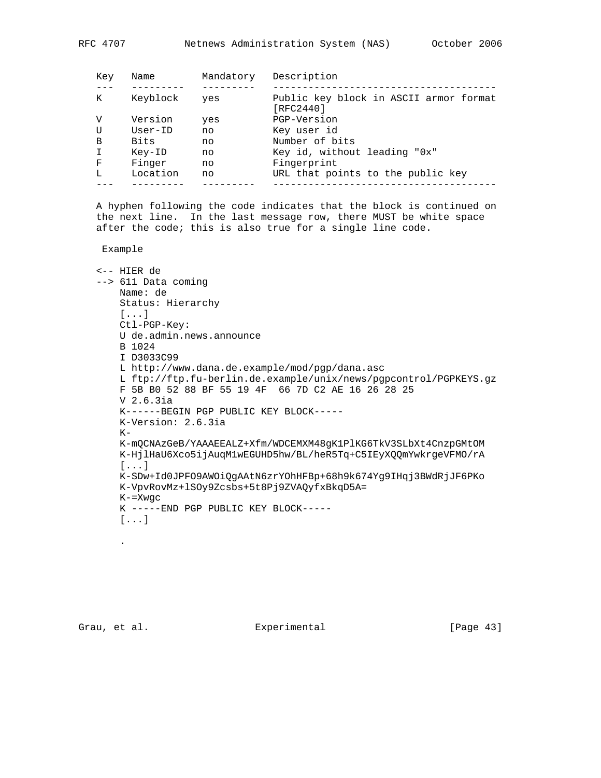| Key | Name      | Mandatory | Description                                         |
|-----|-----------|-----------|-----------------------------------------------------|
| K   | Keyblock  | yes       | Public key block in ASCII armor format<br>[RFC2440] |
| V   | Version   | yes       | PGP-Version                                         |
| U   | $User-ID$ | no        | Key user id                                         |
| B   | Bits      | no        | Number of bits                                      |
|     | Key-ID    | no        | Key id, without leading "0x"                        |
| F   | Finger    | no        | Fingerprint                                         |
| T.  | Location  | no        | URL that points to the public key                   |
|     |           |           |                                                     |

 A hyphen following the code indicates that the block is continued on the next line. In the last message row, there MUST be white space after the code; this is also true for a single line code.

Example

```
 <-- HIER de
 --> 611 Data coming
    Name: de
    Status: Hierarchy
    [...]
    Ctl-PGP-Key:
    U de.admin.news.announce
    B 1024
    I D3033C99
    L http://www.dana.de.example/mod/pgp/dana.asc
    L ftp://ftp.fu-berlin.de.example/unix/news/pgpcontrol/PGPKEYS.gz
    F 5B B0 52 88 BF 55 19 4F 66 7D C2 AE 16 26 28 25
    V 2.6.3ia
    K------BEGIN PGP PUBLIC KEY BLOCK-----
    K-Version: 2.6.3ia
   K - K-mQCNAzGeB/YAAAEEALZ+Xfm/WDCEMXM48gK1PlKG6TkV3SLbXt4CnzpGMtOM
    K-HjlHaU6Xco5ijAuqM1wEGUHD5hw/BL/heR5Tq+C5IEyXQQmYwkrgeVFMO/rA
     [...]
    K-SDw+Id0JPFO9AWOiQgAAtN6zrYOhHFBp+68h9k674Yg9IHqj3BWdRjJF6PKo
    K-VpvRovMz+lSOy9Zcsbs+5t8Pj9ZVAQyfxBkqD5A=
    K-=Xwgc
    K -----END PGP PUBLIC KEY BLOCK-----
     [...]
```
.

Grau, et al. Subsection Experimental Crau, et al. [Page 43]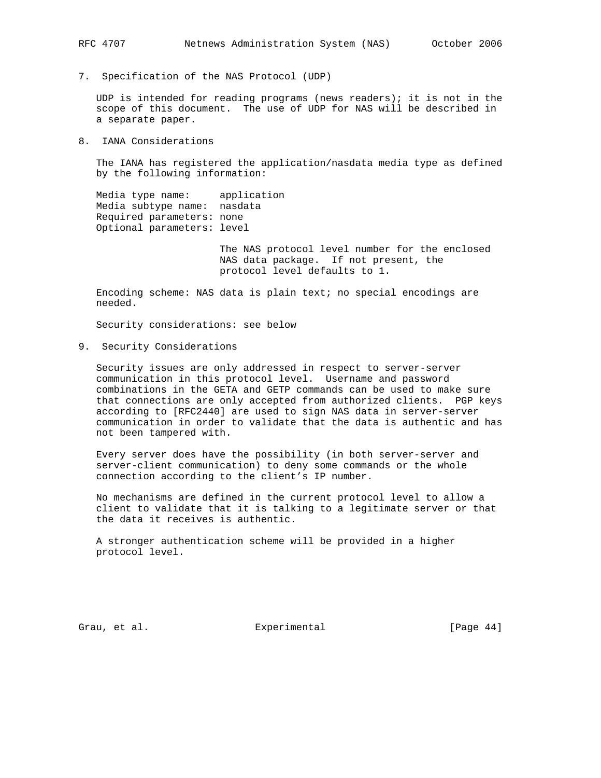7. Specification of the NAS Protocol (UDP)

 UDP is intended for reading programs (news readers); it is not in the scope of this document. The use of UDP for NAS will be described in a separate paper.

8. IANA Considerations

 The IANA has registered the application/nasdata media type as defined by the following information:

 Media type name: application Media subtype name: nasdata Required parameters: none Optional parameters: level

> The NAS protocol level number for the enclosed NAS data package. If not present, the protocol level defaults to 1.

 Encoding scheme: NAS data is plain text; no special encodings are needed.

Security considerations: see below

9. Security Considerations

 Security issues are only addressed in respect to server-server communication in this protocol level. Username and password combinations in the GETA and GETP commands can be used to make sure that connections are only accepted from authorized clients. PGP keys according to [RFC2440] are used to sign NAS data in server-server communication in order to validate that the data is authentic and has not been tampered with.

 Every server does have the possibility (in both server-server and server-client communication) to deny some commands or the whole connection according to the client's IP number.

 No mechanisms are defined in the current protocol level to allow a client to validate that it is talking to a legitimate server or that the data it receives is authentic.

 A stronger authentication scheme will be provided in a higher protocol level.

Grau, et al. Subsectimental Experimental [Page 44]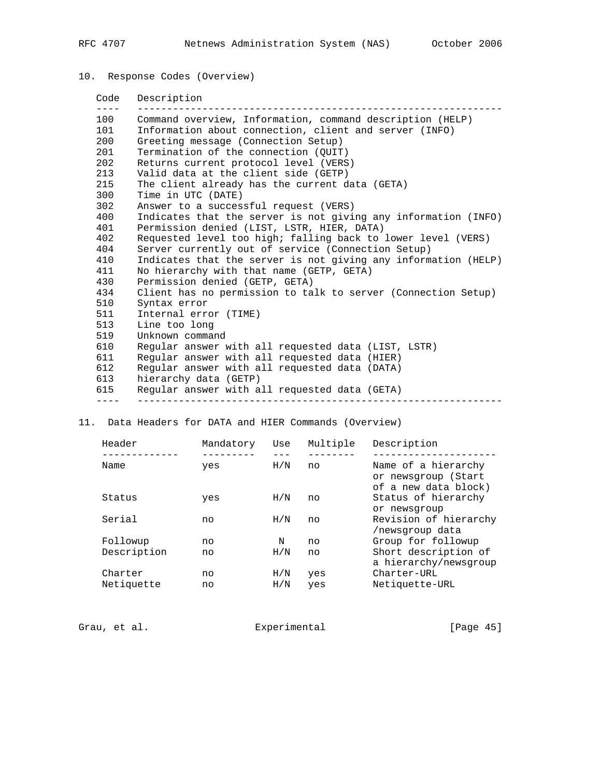# 10. Response Codes (Overview)

 Code Description ---- -------------------------------------------------------------- 100 Command overview, Information, command description (HELP) 101 Information about connection, client and server (INFO) 200 Greeting message (Connection Setup) 201 Termination of the connection (QUIT) 202 Returns current protocol level (VERS) 213 Valid data at the client side (GETP) 215 The client already has the current data (GETA) 300 Time in UTC (DATE) 302 Answer to a successful request (VERS) 400 Indicates that the server is not giving any information (INFO) 401 Permission denied (LIST, LSTR, HIER, DATA) 402 Requested level too high; falling back to lower level (VERS) 404 Server currently out of service (Connection Setup) 410 Indicates that the server is not giving any information (HELP) 411 No hierarchy with that name (GETP, GETA) 430 Permission denied (GETP, GETA) 434 Client has no permission to talk to server (Connection Setup) 510 Syntax error 511 Internal error (TIME) 513 Line too long 519 Unknown command 610 Regular answer with all requested data (LIST, LSTR) 611 Regular answer with all requested data (HIER) 612 Regular answer with all requested data (DATA) 613 hierarchy data (GETP) 615 Regular answer with all requested data (GETA) ---- --------------------------------------------------------------

### 11. Data Headers for DATA and HIER Commands (Overview)

| Header      | Mandatory | Use | Multiple | Description                                                        |
|-------------|-----------|-----|----------|--------------------------------------------------------------------|
|             |           |     |          |                                                                    |
| Name        | yes       | H/N | no       | Name of a hierarchy<br>or newsgroup (Start<br>of a new data block) |
| Status      | yes       | H/N | no       | Status of hierarchy<br>or newsgroup                                |
| Serial      | no        | H/N | no       | Revision of hierarchy<br>/newsgroup data                           |
| Followup    | no        | N   | no       | Group for followup                                                 |
| Description | no        | H/N | no       | Short description of<br>a hierarchy/newsgroup                      |
| Charter     | no        | H/N | yes      | Charter-URL                                                        |
| Netiquette  | no        | H/N | yes      | Netiquette-URL                                                     |

Grau, et al. Subsection Experimental Crau, et al. [Page 45]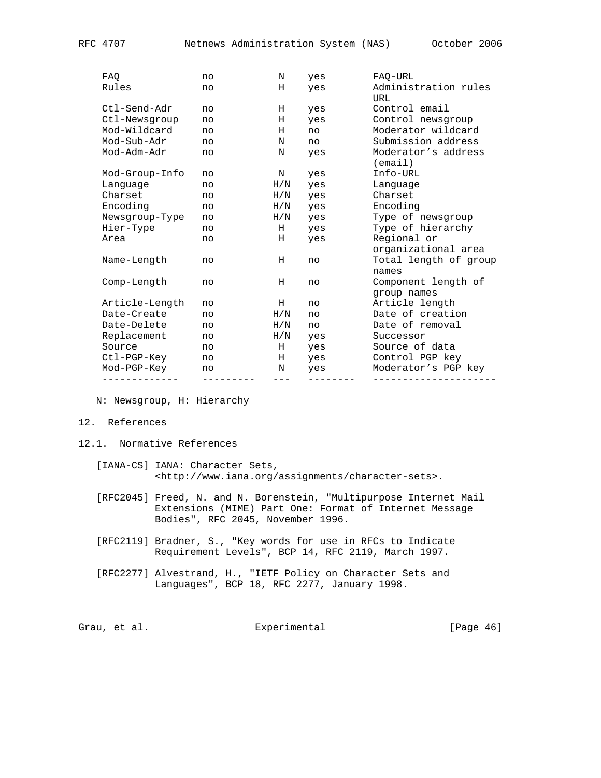| -------------  | --------- | $---$       | -------- | ----------------                                      |
|----------------|-----------|-------------|----------|-------------------------------------------------------|
| Mod-PGP-Key    | no        | N           | yes      | Moderator's PGP key                                   |
| Ctl-PGP-Key    | no        |             | H yes    | Control PGP key                                       |
| Source         | no        | $H$ and $H$ | yes      | Source of data                                        |
| Replacement    | no        | $\rm H/N$   | yes      | Successor                                             |
| Date-Delete    | no        | H/N         | no       | Date of removal                                       |
| Date-Create    | no        | H/N         | no       | Date of creation                                      |
| Article-Length | no        | Н           | no       | group names<br>Article length                         |
| Comp-Length    | no        | н           | no       | Component length of                                   |
| Name-Length    | no        | н           | no       | organizational area<br>Total length of group<br>names |
| Area           | no        | H           | yes      | Regional or                                           |
| Hier-Type      | no        |             | H yes    | Type of hierarchy                                     |
| Newsgroup-Type | no        | $\rm H/N$   | yes      | Type of newsgroup                                     |
| Encoding       | no        | H/N         | yes      | Encoding                                              |
| Charset        | no        | $\rm H/N$   | yes      | Charset                                               |
| Lanquage       | no        | H/N         | yes      | Language                                              |
| Mod-Group-Info | no        | N           | yes      | (email)<br>Info-URL                                   |
| Mod-Adm-Adr    | no        | N           | yes      | Moderator's address                                   |
| Mod-Sub-Adr    | no        | N           | no       | Submission address                                    |
| Mod-Wildcard   | no        | Н           | no       | Moderator wildcard                                    |
| Ctl-Newsgroup  | no        | Н           | yes      | Control newsgroup                                     |
| Ctl-Send-Adr   | no        | Н           | yes      | Control email                                         |
| Rules          | no        | Н           | yes      | Administration rules<br>URL                           |
| FAQ            | no        | N           | yes      | FAQ-URL                                               |

N: Newsgroup, H: Hierarchy

- 12. References
- 12.1. Normative References
	- [IANA-CS] IANA: Character Sets, <http://www.iana.org/assignments/character-sets>.
	- [RFC2045] Freed, N. and N. Borenstein, "Multipurpose Internet Mail Extensions (MIME) Part One: Format of Internet Message Bodies", RFC 2045, November 1996.
	- [RFC2119] Bradner, S., "Key words for use in RFCs to Indicate Requirement Levels", BCP 14, RFC 2119, March 1997.
	- [RFC2277] Alvestrand, H., "IETF Policy on Character Sets and Languages", BCP 18, RFC 2277, January 1998.

Grau, et al. Subsection Experimental (Page 46)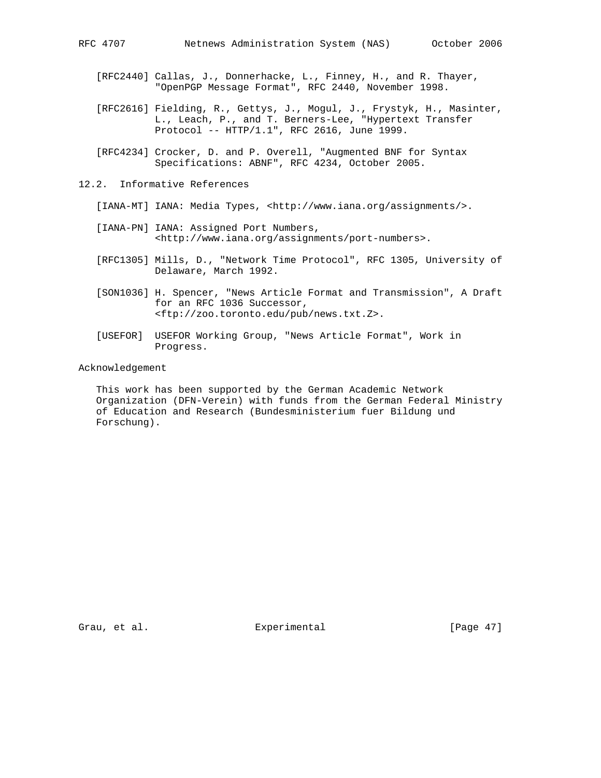- [RFC2440] Callas, J., Donnerhacke, L., Finney, H., and R. Thayer, "OpenPGP Message Format", RFC 2440, November 1998.
- [RFC2616] Fielding, R., Gettys, J., Mogul, J., Frystyk, H., Masinter, L., Leach, P., and T. Berners-Lee, "Hypertext Transfer Protocol -- HTTP/1.1", RFC 2616, June 1999.
- [RFC4234] Crocker, D. and P. Overell, "Augmented BNF for Syntax Specifications: ABNF", RFC 4234, October 2005.
- 12.2. Informative References
	- [IANA-MT] IANA: Media Types, <http://www.iana.org/assignments/>.
	- [IANA-PN] IANA: Assigned Port Numbers, <http://www.iana.org/assignments/port-numbers>.
	- [RFC1305] Mills, D., "Network Time Protocol", RFC 1305, University of Delaware, March 1992.
	- [SON1036] H. Spencer, "News Article Format and Transmission", A Draft for an RFC 1036 Successor, <ftp://zoo.toronto.edu/pub/news.txt.Z>.
	- [USEFOR] USEFOR Working Group, "News Article Format", Work in Progress.

## Acknowledgement

 This work has been supported by the German Academic Network Organization (DFN-Verein) with funds from the German Federal Ministry of Education and Research (Bundesministerium fuer Bildung und Forschung).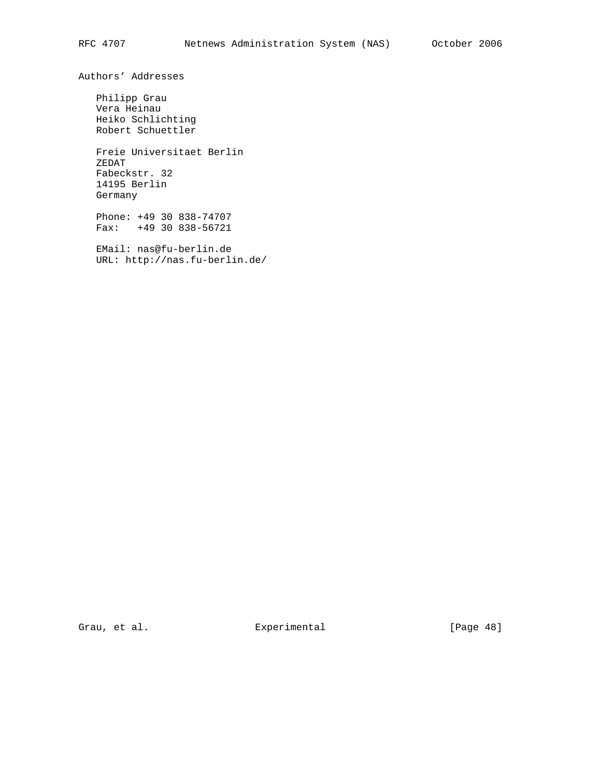Authors' Addresses

 Philipp Grau Vera Heinau Heiko Schlichting Robert Schuettler

 Freie Universitaet Berlin ZEDAT Fabeckstr. 32 14195 Berlin Germany

 Phone: +49 30 838-74707 Fax: +49 30 838-56721

 EMail: nas@fu-berlin.de URL: http://nas.fu-berlin.de/